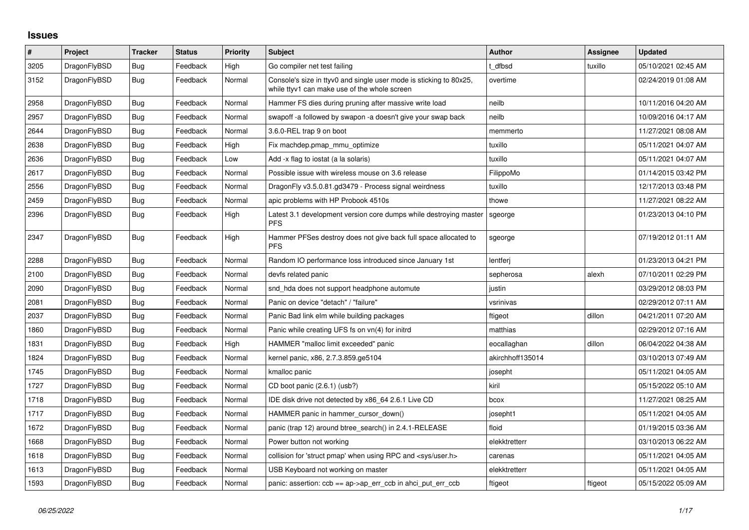## **Issues**

| $\sharp$ | Project      | <b>Tracker</b> | <b>Status</b> | <b>Priority</b> | <b>Subject</b>                                                                                                     | Author           | Assignee | <b>Updated</b>      |
|----------|--------------|----------------|---------------|-----------------|--------------------------------------------------------------------------------------------------------------------|------------------|----------|---------------------|
| 3205     | DragonFlyBSD | Bug            | Feedback      | High            | Go compiler net test failing                                                                                       | dfbsd            | tuxillo  | 05/10/2021 02:45 AM |
| 3152     | DragonFlyBSD | <b>Bug</b>     | Feedback      | Normal          | Console's size in ttyv0 and single user mode is sticking to 80x25,<br>while ttyv1 can make use of the whole screen | overtime         |          | 02/24/2019 01:08 AM |
| 2958     | DragonFlyBSD | Bug            | Feedback      | Normal          | Hammer FS dies during pruning after massive write load                                                             | neilb            |          | 10/11/2016 04:20 AM |
| 2957     | DragonFlyBSD | Bug            | Feedback      | Normal          | swapoff -a followed by swapon -a doesn't give your swap back                                                       | neilb            |          | 10/09/2016 04:17 AM |
| 2644     | DragonFlyBSD | <b>Bug</b>     | Feedback      | Normal          | 3.6.0-REL trap 9 on boot                                                                                           | memmerto         |          | 11/27/2021 08:08 AM |
| 2638     | DragonFlyBSD | Bug            | Feedback      | High            | Fix machdep.pmap mmu optimize                                                                                      | tuxillo          |          | 05/11/2021 04:07 AM |
| 2636     | DragonFlyBSD | Bug            | Feedback      | Low             | Add -x flag to iostat (a la solaris)                                                                               | tuxillo          |          | 05/11/2021 04:07 AM |
| 2617     | DragonFlyBSD | Bug            | Feedback      | Normal          | Possible issue with wireless mouse on 3.6 release                                                                  | FilippoMo        |          | 01/14/2015 03:42 PM |
| 2556     | DragonFlyBSD | <b>Bug</b>     | Feedback      | Normal          | DragonFly v3.5.0.81.gd3479 - Process signal weirdness                                                              | tuxillo          |          | 12/17/2013 03:48 PM |
| 2459     | DragonFlyBSD | Bug            | Feedback      | Normal          | apic problems with HP Probook 4510s                                                                                | thowe            |          | 11/27/2021 08:22 AM |
| 2396     | DragonFlyBSD | Bug            | Feedback      | High            | Latest 3.1 development version core dumps while destroying master<br><b>PFS</b>                                    | sgeorge          |          | 01/23/2013 04:10 PM |
| 2347     | DragonFlyBSD | Bug            | Feedback      | High            | Hammer PFSes destroy does not give back full space allocated to<br><b>PFS</b>                                      | sgeorge          |          | 07/19/2012 01:11 AM |
| 2288     | DragonFlyBSD | <b>Bug</b>     | Feedback      | Normal          | Random IO performance loss introduced since January 1st                                                            | lentferi         |          | 01/23/2013 04:21 PM |
| 2100     | DragonFlyBSD | Bug            | Feedback      | Normal          | devfs related panic                                                                                                | sepherosa        | alexh    | 07/10/2011 02:29 PM |
| 2090     | DragonFlyBSD | Bug            | Feedback      | Normal          | snd_hda does not support headphone automute                                                                        | justin           |          | 03/29/2012 08:03 PM |
| 2081     | DragonFlyBSD | Bug            | Feedback      | Normal          | Panic on device "detach" / "failure"                                                                               | vsrinivas        |          | 02/29/2012 07:11 AM |
| 2037     | DragonFlyBSD | Bug            | Feedback      | Normal          | Panic Bad link elm while building packages                                                                         | ftigeot          | dillon   | 04/21/2011 07:20 AM |
| 1860     | DragonFlyBSD | Bug            | Feedback      | Normal          | Panic while creating UFS fs on vn(4) for initrd                                                                    | matthias         |          | 02/29/2012 07:16 AM |
| 1831     | DragonFlyBSD | Bug            | Feedback      | High            | HAMMER "malloc limit exceeded" panic                                                                               | eocallaghan      | dillon   | 06/04/2022 04:38 AM |
| 1824     | DragonFlyBSD | Bug            | Feedback      | Normal          | kernel panic, x86, 2.7.3.859.ge5104                                                                                | akirchhoff135014 |          | 03/10/2013 07:49 AM |
| 1745     | DragonFlyBSD | Bug            | Feedback      | Normal          | kmalloc panic                                                                                                      | josepht          |          | 05/11/2021 04:05 AM |
| 1727     | DragonFlyBSD | <b>Bug</b>     | Feedback      | Normal          | CD boot panic (2.6.1) (usb?)                                                                                       | kiril            |          | 05/15/2022 05:10 AM |
| 1718     | DragonFlyBSD | <b>Bug</b>     | Feedback      | Normal          | IDE disk drive not detected by x86 64 2.6.1 Live CD                                                                | bcox             |          | 11/27/2021 08:25 AM |
| 1717     | DragonFlyBSD | Bug            | Feedback      | Normal          | HAMMER panic in hammer_cursor_down()                                                                               | josepht1         |          | 05/11/2021 04:05 AM |
| 1672     | DragonFlyBSD | <b>Bug</b>     | Feedback      | Normal          | panic (trap 12) around btree search() in 2.4.1-RELEASE                                                             | floid            |          | 01/19/2015 03:36 AM |
| 1668     | DragonFlyBSD | Bug            | Feedback      | Normal          | Power button not working                                                                                           | elekktretterr    |          | 03/10/2013 06:22 AM |
| 1618     | DragonFlyBSD | Bug            | Feedback      | Normal          | collision for 'struct pmap' when using RPC and <sys user.h=""></sys>                                               | carenas          |          | 05/11/2021 04:05 AM |
| 1613     | DragonFlyBSD | Bug            | Feedback      | Normal          | USB Keyboard not working on master                                                                                 | elekktretterr    |          | 05/11/2021 04:05 AM |
| 1593     | DragonFlyBSD | <b>Bug</b>     | Feedback      | Normal          | panic: assertion: $ccb == ap > ap\_err\_ccb$ in ahci_put_err_ccb                                                   | ftigeot          | ftigeot  | 05/15/2022 05:09 AM |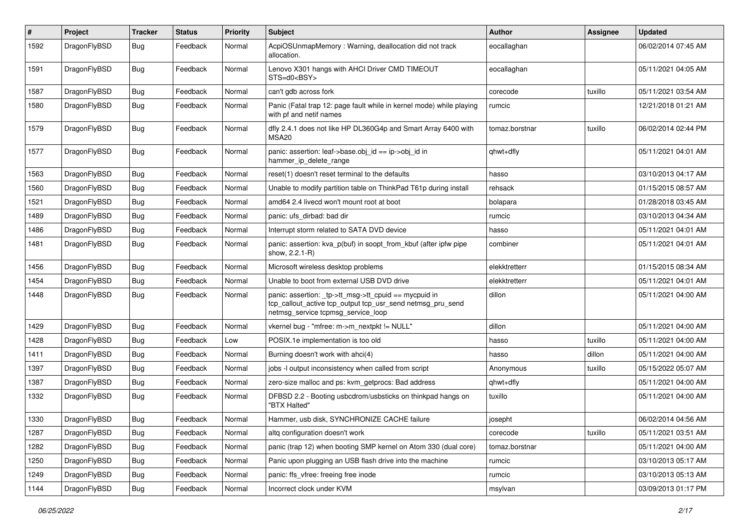| $\sharp$ | Project      | <b>Tracker</b> | <b>Status</b> | <b>Priority</b> | Subject                                                                                                                                                   | <b>Author</b>  | <b>Assignee</b> | <b>Updated</b>      |
|----------|--------------|----------------|---------------|-----------------|-----------------------------------------------------------------------------------------------------------------------------------------------------------|----------------|-----------------|---------------------|
| 1592     | DragonFlyBSD | <b>Bug</b>     | Feedback      | Normal          | AcpiOSUnmapMemory: Warning, deallocation did not track<br>allocation.                                                                                     | eocallaghan    |                 | 06/02/2014 07:45 AM |
| 1591     | DragonFlyBSD | <b>Bug</b>     | Feedback      | Normal          | Lenovo X301 hangs with AHCI Driver CMD TIMEOUT<br>STS=d0 <bsy></bsy>                                                                                      | eocallaghan    |                 | 05/11/2021 04:05 AM |
| 1587     | DragonFlyBSD | <b>Bug</b>     | Feedback      | Normal          | can't gdb across fork                                                                                                                                     | corecode       | tuxillo         | 05/11/2021 03:54 AM |
| 1580     | DragonFlyBSD | <b>Bug</b>     | Feedback      | Normal          | Panic (Fatal trap 12: page fault while in kernel mode) while playing<br>with pf and netif names                                                           | rumcic         |                 | 12/21/2018 01:21 AM |
| 1579     | DragonFlyBSD | <b>Bug</b>     | Feedback      | Normal          | dfly 2.4.1 does not like HP DL360G4p and Smart Array 6400 with<br>MSA <sub>20</sub>                                                                       | tomaz.borstnar | tuxillo         | 06/02/2014 02:44 PM |
| 1577     | DragonFlyBSD | <b>Bug</b>     | Feedback      | Normal          | panic: assertion: leaf->base.obj_id == ip->obj_id in<br>hammer_ip_delete_range                                                                            | qhwt+dfly      |                 | 05/11/2021 04:01 AM |
| 1563     | DragonFlyBSD | <b>Bug</b>     | Feedback      | Normal          | reset(1) doesn't reset terminal to the defaults                                                                                                           | hasso          |                 | 03/10/2013 04:17 AM |
| 1560     | DragonFlyBSD | <b>Bug</b>     | Feedback      | Normal          | Unable to modify partition table on ThinkPad T61p during install                                                                                          | rehsack        |                 | 01/15/2015 08:57 AM |
| 1521     | DragonFlyBSD | <b>Bug</b>     | Feedback      | Normal          | amd64 2.4 livecd won't mount root at boot                                                                                                                 | bolapara       |                 | 01/28/2018 03:45 AM |
| 1489     | DragonFlyBSD | <b>Bug</b>     | Feedback      | Normal          | panic: ufs dirbad: bad dir                                                                                                                                | rumcic         |                 | 03/10/2013 04:34 AM |
| 1486     | DragonFlyBSD | <b>Bug</b>     | Feedback      | Normal          | Interrupt storm related to SATA DVD device                                                                                                                | hasso          |                 | 05/11/2021 04:01 AM |
| 1481     | DragonFlyBSD | <b>Bug</b>     | Feedback      | Normal          | panic: assertion: kva_p(buf) in soopt_from_kbuf (after ipfw pipe<br>show, 2.2.1-R)                                                                        | combiner       |                 | 05/11/2021 04:01 AM |
| 1456     | DragonFlyBSD | <b>Bug</b>     | Feedback      | Normal          | Microsoft wireless desktop problems                                                                                                                       | elekktretterr  |                 | 01/15/2015 08:34 AM |
| 1454     | DragonFlyBSD | <b>Bug</b>     | Feedback      | Normal          | Unable to boot from external USB DVD drive                                                                                                                | elekktretterr  |                 | 05/11/2021 04:01 AM |
| 1448     | DragonFlyBSD | Bug            | Feedback      | Normal          | panic: assertion: _tp->tt_msg->tt_cpuid == mycpuid in<br>tcp_callout_active tcp_output tcp_usr_send netmsg_pru_send<br>netmsg_service tcpmsg_service_loop | dillon         |                 | 05/11/2021 04:00 AM |
| 1429     | DragonFlyBSD | Bug            | Feedback      | Normal          | vkernel bug - "mfree: m->m_nextpkt != NULL"                                                                                                               | dillon         |                 | 05/11/2021 04:00 AM |
| 1428     | DragonFlyBSD | Bug            | Feedback      | Low             | POSIX.1e implementation is too old                                                                                                                        | hasso          | tuxillo         | 05/11/2021 04:00 AM |
| 1411     | DragonFlyBSD | Bug            | Feedback      | Normal          | Burning doesn't work with ahci(4)                                                                                                                         | hasso          | dillon          | 05/11/2021 04:00 AM |
| 1397     | DragonFlyBSD | <b>Bug</b>     | Feedback      | Normal          | jobs -I output inconsistency when called from script                                                                                                      | Anonymous      | tuxillo         | 05/15/2022 05:07 AM |
| 1387     | DragonFlyBSD | <b>Bug</b>     | Feedback      | Normal          | zero-size malloc and ps: kvm_getprocs: Bad address                                                                                                        | qhwt+dfly      |                 | 05/11/2021 04:00 AM |
| 1332     | DragonFlyBSD | Bug            | Feedback      | Normal          | DFBSD 2.2 - Booting usbcdrom/usbsticks on thinkpad hangs on<br>"BTX Halted"                                                                               | tuxillo        |                 | 05/11/2021 04:00 AM |
| 1330     | DragonFlyBSD | Bug            | Feedback      | Normal          | Hammer, usb disk, SYNCHRONIZE CACHE failure                                                                                                               | josepht        |                 | 06/02/2014 04:56 AM |
| 1287     | DragonFlyBSD | <b>Bug</b>     | Feedback      | Normal          | altg configuration doesn't work                                                                                                                           | corecode       | tuxillo         | 05/11/2021 03:51 AM |
| 1282     | DragonFlyBSD | <b>Bug</b>     | Feedback      | Normal          | panic (trap 12) when booting SMP kernel on Atom 330 (dual core)                                                                                           | tomaz.borstnar |                 | 05/11/2021 04:00 AM |
| 1250     | DragonFlyBSD | <b>Bug</b>     | Feedback      | Normal          | Panic upon plugging an USB flash drive into the machine                                                                                                   | rumcic         |                 | 03/10/2013 05:17 AM |
| 1249     | DragonFlyBSD | <b>Bug</b>     | Feedback      | Normal          | panic: ffs vfree: freeing free inode                                                                                                                      | rumcic         |                 | 03/10/2013 05:13 AM |
| 1144     | DragonFlyBSD | <b>Bug</b>     | Feedback      | Normal          | Incorrect clock under KVM                                                                                                                                 | msylvan        |                 | 03/09/2013 01:17 PM |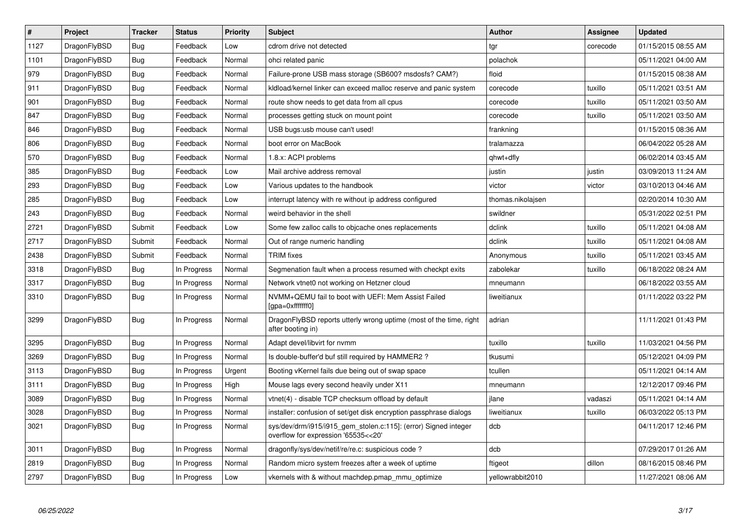| $\vert$ # | Project      | <b>Tracker</b> | <b>Status</b> | <b>Priority</b> | <b>Subject</b>                                                                                         | <b>Author</b>     | <b>Assignee</b> | <b>Updated</b>      |
|-----------|--------------|----------------|---------------|-----------------|--------------------------------------------------------------------------------------------------------|-------------------|-----------------|---------------------|
| 1127      | DragonFlyBSD | <b>Bug</b>     | Feedback      | Low             | cdrom drive not detected                                                                               | tgr               | corecode        | 01/15/2015 08:55 AM |
| 1101      | DragonFlyBSD | <b>Bug</b>     | Feedback      | Normal          | ohci related panic                                                                                     | polachok          |                 | 05/11/2021 04:00 AM |
| 979       | DragonFlyBSD | <b>Bug</b>     | Feedback      | Normal          | Failure-prone USB mass storage (SB600? msdosfs? CAM?)                                                  | floid             |                 | 01/15/2015 08:38 AM |
| 911       | DragonFlyBSD | Bug            | Feedback      | Normal          | kldload/kernel linker can exceed malloc reserve and panic system                                       | corecode          | tuxillo         | 05/11/2021 03:51 AM |
| 901       | DragonFlyBSD | Bug            | Feedback      | Normal          | route show needs to get data from all cpus                                                             | corecode          | tuxillo         | 05/11/2021 03:50 AM |
| 847       | DragonFlyBSD | <b>Bug</b>     | Feedback      | Normal          | processes getting stuck on mount point                                                                 | corecode          | tuxillo         | 05/11/2021 03:50 AM |
| 846       | DragonFlyBSD | <b>Bug</b>     | Feedback      | Normal          | USB bugs:usb mouse can't used!                                                                         | frankning         |                 | 01/15/2015 08:36 AM |
| 806       | DragonFlyBSD | <b>Bug</b>     | Feedback      | Normal          | boot error on MacBook                                                                                  | tralamazza        |                 | 06/04/2022 05:28 AM |
| 570       | DragonFlyBSD | Bug            | Feedback      | Normal          | 1.8.x: ACPI problems                                                                                   | qhwt+dfly         |                 | 06/02/2014 03:45 AM |
| 385       | DragonFlyBSD | Bug            | Feedback      | Low             | Mail archive address removal                                                                           | justin            | justin          | 03/09/2013 11:24 AM |
| 293       | DragonFlyBSD | Bug            | Feedback      | Low             | Various updates to the handbook                                                                        | victor            | victor          | 03/10/2013 04:46 AM |
| 285       | DragonFlyBSD | Bug            | Feedback      | Low             | interrupt latency with re without ip address configured                                                | thomas.nikolajsen |                 | 02/20/2014 10:30 AM |
| 243       | DragonFlyBSD | Bug            | Feedback      | Normal          | weird behavior in the shell                                                                            | swildner          |                 | 05/31/2022 02:51 PM |
| 2721      | DragonFlyBSD | Submit         | Feedback      | Low             | Some few zalloc calls to objcache ones replacements                                                    | dclink            | tuxillo         | 05/11/2021 04:08 AM |
| 2717      | DragonFlyBSD | Submit         | Feedback      | Normal          | Out of range numeric handling                                                                          | dclink            | tuxillo         | 05/11/2021 04:08 AM |
| 2438      | DragonFlyBSD | Submit         | Feedback      | Normal          | <b>TRIM</b> fixes                                                                                      | Anonymous         | tuxillo         | 05/11/2021 03:45 AM |
| 3318      | DragonFlyBSD | Bug            | In Progress   | Normal          | Segmenation fault when a process resumed with checkpt exits                                            | zabolekar         | tuxillo         | 06/18/2022 08:24 AM |
| 3317      | DragonFlyBSD | <b>Bug</b>     | In Progress   | Normal          | Network vtnet0 not working on Hetzner cloud                                                            | mneumann          |                 | 06/18/2022 03:55 AM |
| 3310      | DragonFlyBSD | Bug            | In Progress   | Normal          | NVMM+QEMU fail to boot with UEFI: Mem Assist Failed<br>[gpa=0xfffffff0]                                | liweitianux       |                 | 01/11/2022 03:22 PM |
| 3299      | DragonFlyBSD | <b>Bug</b>     | In Progress   | Normal          | DragonFlyBSD reports utterly wrong uptime (most of the time, right<br>after booting in)                | adrian            |                 | 11/11/2021 01:43 PM |
| 3295      | DragonFlyBSD | <b>Bug</b>     | In Progress   | Normal          | Adapt devel/libvirt for nymm                                                                           | tuxillo           | tuxillo         | 11/03/2021 04:56 PM |
| 3269      | DragonFlyBSD | <b>Bug</b>     | In Progress   | Normal          | Is double-buffer'd buf still required by HAMMER2?                                                      | tkusumi           |                 | 05/12/2021 04:09 PM |
| 3113      | DragonFlyBSD | <b>Bug</b>     | In Progress   | Urgent          | Booting vKernel fails due being out of swap space                                                      | tcullen           |                 | 05/11/2021 04:14 AM |
| 3111      | DragonFlyBSD | Bug            | In Progress   | High            | Mouse lags every second heavily under X11                                                              | mneumann          |                 | 12/12/2017 09:46 PM |
| 3089      | DragonFlyBSD | <b>Bug</b>     | In Progress   | Normal          | vtnet(4) - disable TCP checksum offload by default                                                     | ilane             | vadaszi         | 05/11/2021 04:14 AM |
| 3028      | DragonFlyBSD | Bug            | In Progress   | Normal          | installer: confusion of set/get disk encryption passphrase dialogs                                     | liweitianux       | tuxillo         | 06/03/2022 05:13 PM |
| 3021      | DragonFlyBSD | <b>Bug</b>     | In Progress   | Normal          | sys/dev/drm/i915/i915_gem_stolen.c:115]: (error) Signed integer<br>overflow for expression '65535<<20' | dcb               |                 | 04/11/2017 12:46 PM |
| 3011      | DragonFlyBSD | <b>Bug</b>     | In Progress   | Normal          | dragonfly/sys/dev/netif/re/re.c: suspicious code ?                                                     | dcb               |                 | 07/29/2017 01:26 AM |
| 2819      | DragonFlyBSD | Bug            | In Progress   | Normal          | Random micro system freezes after a week of uptime                                                     | ftigeot           | dillon          | 08/16/2015 08:46 PM |
| 2797      | DragonFlyBSD | Bug            | In Progress   | Low             | vkernels with & without machdep.pmap_mmu_optimize                                                      | yellowrabbit2010  |                 | 11/27/2021 08:06 AM |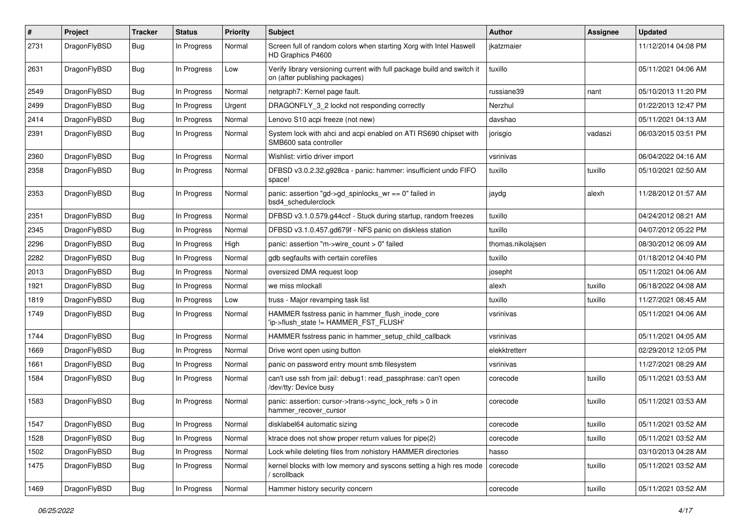| $\sharp$ | Project      | <b>Tracker</b> | <b>Status</b> | <b>Priority</b> | Subject                                                                                                   | <b>Author</b>     | Assignee | <b>Updated</b>      |
|----------|--------------|----------------|---------------|-----------------|-----------------------------------------------------------------------------------------------------------|-------------------|----------|---------------------|
| 2731     | DragonFlyBSD | Bug            | In Progress   | Normal          | Screen full of random colors when starting Xorg with Intel Haswell<br>HD Graphics P4600                   | jkatzmaier        |          | 11/12/2014 04:08 PM |
| 2631     | DragonFlyBSD | Bug            | In Progress   | Low             | Verify library versioning current with full package build and switch it<br>on (after publishing packages) | tuxillo           |          | 05/11/2021 04:06 AM |
| 2549     | DragonFlyBSD | <b>Bug</b>     | In Progress   | Normal          | netgraph7: Kernel page fault.                                                                             | russiane39        | nant     | 05/10/2013 11:20 PM |
| 2499     | DragonFlyBSD | <b>Bug</b>     | In Progress   | Urgent          | DRAGONFLY_3_2 lockd not responding correctly                                                              | Nerzhul           |          | 01/22/2013 12:47 PM |
| 2414     | DragonFlyBSD | <b>Bug</b>     | In Progress   | Normal          | Lenovo S10 acpi freeze (not new)                                                                          | davshao           |          | 05/11/2021 04:13 AM |
| 2391     | DragonFlyBSD | <b>Bug</b>     | In Progress   | Normal          | System lock with ahci and acpi enabled on ATI RS690 chipset with<br>SMB600 sata controller                | jorisgio          | vadaszi  | 06/03/2015 03:51 PM |
| 2360     | DragonFlyBSD | <b>Bug</b>     | In Progress   | Normal          | Wishlist: virtio driver import                                                                            | vsrinivas         |          | 06/04/2022 04:16 AM |
| 2358     | DragonFlyBSD | <b>Bug</b>     | In Progress   | Normal          | DFBSD v3.0.2.32.g928ca - panic: hammer: insufficient undo FIFO<br>space!                                  | tuxillo           | tuxillo  | 05/10/2021 02:50 AM |
| 2353     | DragonFlyBSD | <b>Bug</b>     | In Progress   | Normal          | panic: assertion "gd->gd_spinlocks_wr == 0" failed in<br>bsd4_schedulerclock                              | jaydg             | alexh    | 11/28/2012 01:57 AM |
| 2351     | DragonFlyBSD | <b>Bug</b>     | In Progress   | Normal          | DFBSD v3.1.0.579.g44ccf - Stuck during startup, random freezes                                            | tuxillo           |          | 04/24/2012 08:21 AM |
| 2345     | DragonFlyBSD | <b>Bug</b>     | In Progress   | Normal          | DFBSD v3.1.0.457.gd679f - NFS panic on diskless station                                                   | tuxillo           |          | 04/07/2012 05:22 PM |
| 2296     | DragonFlyBSD | <b>Bug</b>     | In Progress   | High            | panic: assertion "m->wire_count > 0" failed                                                               | thomas.nikolajsen |          | 08/30/2012 06:09 AM |
| 2282     | DragonFlyBSD | <b>Bug</b>     | In Progress   | Normal          | gdb segfaults with certain corefiles                                                                      | tuxillo           |          | 01/18/2012 04:40 PM |
| 2013     | DragonFlyBSD | <b>Bug</b>     | In Progress   | Normal          | oversized DMA request loop                                                                                | josepht           |          | 05/11/2021 04:06 AM |
| 1921     | DragonFlyBSD | <b>Bug</b>     | In Progress   | Normal          | we miss mlockall                                                                                          | alexh             | tuxillo  | 06/18/2022 04:08 AM |
| 1819     | DragonFlyBSD | Bug            | In Progress   | Low             | truss - Major revamping task list                                                                         | tuxillo           | tuxillo  | 11/27/2021 08:45 AM |
| 1749     | DragonFlyBSD | <b>Bug</b>     | In Progress   | Normal          | HAMMER fsstress panic in hammer_flush_inode_core<br>'ip->flush_state != HAMMER_FST_FLUSH'                 | vsrinivas         |          | 05/11/2021 04:06 AM |
| 1744     | DragonFlyBSD | <b>Bug</b>     | In Progress   | Normal          | HAMMER fsstress panic in hammer_setup_child_callback                                                      | vsrinivas         |          | 05/11/2021 04:05 AM |
| 1669     | DragonFlyBSD | <b>Bug</b>     | In Progress   | Normal          | Drive wont open using button                                                                              | elekktretterr     |          | 02/29/2012 12:05 PM |
| 1661     | DragonFlyBSD | <b>Bug</b>     | In Progress   | Normal          | panic on password entry mount smb filesystem                                                              | vsrinivas         |          | 11/27/2021 08:29 AM |
| 1584     | DragonFlyBSD | Bug            | In Progress   | Normal          | can't use ssh from jail: debug1: read_passphrase: can't open<br>/dev/tty: Device busy                     | corecode          | tuxillo  | 05/11/2021 03:53 AM |
| 1583     | DragonFlyBSD | <b>Bug</b>     | In Progress   | Normal          | panic: assertion: cursor->trans->sync_lock_refs > 0 in<br>hammer_recover_cursor                           | corecode          | tuxillo  | 05/11/2021 03:53 AM |
| 1547     | DragonFlyBSD | <b>Bug</b>     | In Progress   | Normal          | disklabel64 automatic sizing                                                                              | corecode          | tuxillo  | 05/11/2021 03:52 AM |
| 1528     | DragonFlyBSD | Bug            | In Progress   | Normal          | ktrace does not show proper return values for pipe(2)                                                     | corecode          | tuxillo  | 05/11/2021 03:52 AM |
| 1502     | DragonFlyBSD | <b>Bug</b>     | In Progress   | Normal          | Lock while deleting files from nohistory HAMMER directories                                               | hasso             |          | 03/10/2013 04:28 AM |
| 1475     | DragonFlyBSD | <b>Bug</b>     | In Progress   | Normal          | kernel blocks with low memory and syscons setting a high res mode<br>scrollback                           | corecode          | tuxillo  | 05/11/2021 03:52 AM |
| 1469     | DragonFlyBSD | <b>Bug</b>     | In Progress   | Normal          | Hammer history security concern                                                                           | corecode          | tuxillo  | 05/11/2021 03:52 AM |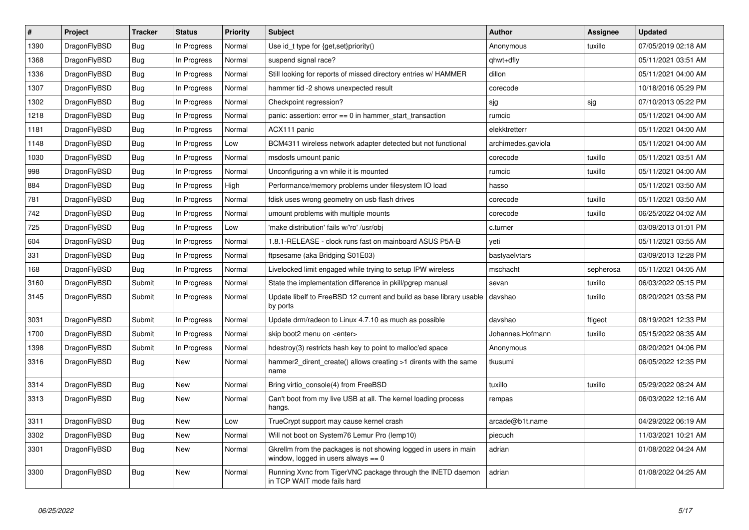| #    | Project      | <b>Tracker</b> | <b>Status</b> | <b>Priority</b> | <b>Subject</b>                                                                                            | <b>Author</b>      | Assignee  | <b>Updated</b>      |
|------|--------------|----------------|---------------|-----------------|-----------------------------------------------------------------------------------------------------------|--------------------|-----------|---------------------|
| 1390 | DragonFlyBSD | Bug            | In Progress   | Normal          | Use id_t type for {get, set}priority()                                                                    | Anonymous          | tuxillo   | 07/05/2019 02:18 AM |
| 1368 | DragonFlyBSD | <b>Bug</b>     | In Progress   | Normal          | suspend signal race?                                                                                      | qhwt+dfly          |           | 05/11/2021 03:51 AM |
| 1336 | DragonFlyBSD | <b>Bug</b>     | In Progress   | Normal          | Still looking for reports of missed directory entries w/ HAMMER                                           | dillon             |           | 05/11/2021 04:00 AM |
| 1307 | DragonFlyBSD | Bug            | In Progress   | Normal          | hammer tid -2 shows unexpected result                                                                     | corecode           |           | 10/18/2016 05:29 PM |
| 1302 | DragonFlyBSD | <b>Bug</b>     | In Progress   | Normal          | Checkpoint regression?                                                                                    | sjg                | sjg       | 07/10/2013 05:22 PM |
| 1218 | DragonFlyBSD | <b>Bug</b>     | In Progress   | Normal          | panic: assertion: $error == 0$ in hammer start transaction                                                | rumcic             |           | 05/11/2021 04:00 AM |
| 1181 | DragonFlyBSD | <b>Bug</b>     | In Progress   | Normal          | ACX111 panic                                                                                              | elekktretterr      |           | 05/11/2021 04:00 AM |
| 1148 | DragonFlyBSD | Bug            | In Progress   | Low             | BCM4311 wireless network adapter detected but not functional                                              | archimedes.gaviola |           | 05/11/2021 04:00 AM |
| 1030 | DragonFlyBSD | Bug            | In Progress   | Normal          | msdosfs umount panic                                                                                      | corecode           | tuxillo   | 05/11/2021 03:51 AM |
| 998  | DragonFlyBSD | <b>Bug</b>     | In Progress   | Normal          | Unconfiguring a vn while it is mounted                                                                    | rumcic             | tuxillo   | 05/11/2021 04:00 AM |
| 884  | DragonFlyBSD | <b>Bug</b>     | In Progress   | High            | Performance/memory problems under filesystem IO load                                                      | hasso              |           | 05/11/2021 03:50 AM |
| 781  | DragonFlyBSD | <b>Bug</b>     | In Progress   | Normal          | fdisk uses wrong geometry on usb flash drives                                                             | corecode           | tuxillo   | 05/11/2021 03:50 AM |
| 742  | DragonFlyBSD | Bug            | In Progress   | Normal          | umount problems with multiple mounts                                                                      | corecode           | tuxillo   | 06/25/2022 04:02 AM |
| 725  | DragonFlyBSD | Bug            | In Progress   | Low             | 'make distribution' fails w/'ro' /usr/obj                                                                 | c.turner           |           | 03/09/2013 01:01 PM |
| 604  | DragonFlyBSD | <b>Bug</b>     | In Progress   | Normal          | 1.8.1-RELEASE - clock runs fast on mainboard ASUS P5A-B                                                   | yeti               |           | 05/11/2021 03:55 AM |
| 331  | DragonFlyBSD | Bug            | In Progress   | Normal          | ftpsesame (aka Bridging S01E03)                                                                           | bastyaelvtars      |           | 03/09/2013 12:28 PM |
| 168  | DragonFlyBSD | <b>Bug</b>     | In Progress   | Normal          | Livelocked limit engaged while trying to setup IPW wireless                                               | mschacht           | sepherosa | 05/11/2021 04:05 AM |
| 3160 | DragonFlyBSD | Submit         | In Progress   | Normal          | State the implementation difference in pkill/pgrep manual                                                 | sevan              | tuxillo   | 06/03/2022 05:15 PM |
| 3145 | DragonFlyBSD | Submit         | In Progress   | Normal          | Update libelf to FreeBSD 12 current and build as base library usable<br>by ports                          | davshao            | tuxillo   | 08/20/2021 03:58 PM |
| 3031 | DragonFlyBSD | Submit         | In Progress   | Normal          | Update drm/radeon to Linux 4.7.10 as much as possible                                                     | davshao            | ftigeot   | 08/19/2021 12:33 PM |
| 1700 | DragonFlyBSD | Submit         | In Progress   | Normal          | skip boot2 menu on <enter></enter>                                                                        | Johannes.Hofmann   | tuxillo   | 05/15/2022 08:35 AM |
| 1398 | DragonFlyBSD | Submit         | In Progress   | Normal          | hdestroy(3) restricts hash key to point to malloc'ed space                                                | Anonymous          |           | 08/20/2021 04:06 PM |
| 3316 | DragonFlyBSD | Bug            | New           | Normal          | hammer2_dirent_create() allows creating >1 dirents with the same<br>name                                  | tkusumi            |           | 06/05/2022 12:35 PM |
| 3314 | DragonFlyBSD | Bug            | <b>New</b>    | Normal          | Bring virtio console(4) from FreeBSD                                                                      | tuxillo            | tuxillo   | 05/29/2022 08:24 AM |
| 3313 | DragonFlyBSD | Bug            | <b>New</b>    | Normal          | Can't boot from my live USB at all. The kernel loading process<br>hangs.                                  | rempas             |           | 06/03/2022 12:16 AM |
| 3311 | DragonFlyBSD | <b>Bug</b>     | <b>New</b>    | Low             | TrueCrypt support may cause kernel crash                                                                  | arcade@b1t.name    |           | 04/29/2022 06:19 AM |
| 3302 | DragonFlyBSD | <b>Bug</b>     | <b>New</b>    | Normal          | Will not boot on System76 Lemur Pro (lemp10)                                                              | piecuch            |           | 11/03/2021 10:21 AM |
| 3301 | DragonFlyBSD | <b>Bug</b>     | <b>New</b>    | Normal          | Gkrellm from the packages is not showing logged in users in main<br>window, logged in users always $== 0$ | adrian             |           | 01/08/2022 04:24 AM |
| 3300 | DragonFlyBSD | <b>Bug</b>     | <b>New</b>    | Normal          | Running Xvnc from TigerVNC package through the INETD daemon<br>in TCP WAIT mode fails hard                | adrian             |           | 01/08/2022 04:25 AM |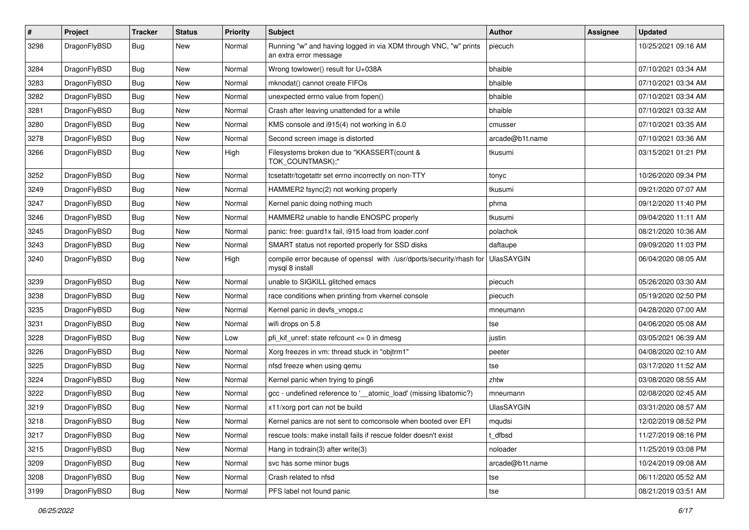| $\sharp$ | Project      | <b>Tracker</b> | <b>Status</b> | <b>Priority</b> | Subject                                                                                    | <b>Author</b>     | Assignee | <b>Updated</b>      |
|----------|--------------|----------------|---------------|-----------------|--------------------------------------------------------------------------------------------|-------------------|----------|---------------------|
| 3298     | DragonFlyBSD | Bug            | <b>New</b>    | Normal          | Running "w" and having logged in via XDM through VNC, "w" prints<br>an extra error message | piecuch           |          | 10/25/2021 09:16 AM |
| 3284     | DragonFlyBSD | Bug            | <b>New</b>    | Normal          | Wrong towlower() result for U+038A                                                         | bhaible           |          | 07/10/2021 03:34 AM |
| 3283     | DragonFlyBSD | Bug            | New           | Normal          | mknodat() cannot create FIFOs                                                              | bhaible           |          | 07/10/2021 03:34 AM |
| 3282     | DragonFlyBSD | <b>Bug</b>     | <b>New</b>    | Normal          | unexpected errno value from fopen()                                                        | bhaible           |          | 07/10/2021 03:34 AM |
| 3281     | DragonFlyBSD | <b>Bug</b>     | <b>New</b>    | Normal          | Crash after leaving unattended for a while                                                 | bhaible           |          | 07/10/2021 03:32 AM |
| 3280     | DragonFlyBSD | <b>Bug</b>     | <b>New</b>    | Normal          | KMS console and i915(4) not working in 6.0                                                 | cmusser           |          | 07/10/2021 03:35 AM |
| 3278     | DragonFlyBSD | <b>Bug</b>     | <b>New</b>    | Normal          | Second screen image is distorted                                                           | arcade@b1t.name   |          | 07/10/2021 03:36 AM |
| 3266     | DragonFlyBSD | Bug            | New           | High            | Filesystems broken due to "KKASSERT(count &<br>TOK_COUNTMASK);"                            | tkusumi           |          | 03/15/2021 01:21 PM |
| 3252     | DragonFlyBSD | Bug            | <b>New</b>    | Normal          | tcsetattr/tcgetattr set errno incorrectly on non-TTY                                       | tonyc             |          | 10/26/2020 09:34 PM |
| 3249     | DragonFlyBSD | <b>Bug</b>     | <b>New</b>    | Normal          | HAMMER2 fsync(2) not working properly                                                      | tkusumi           |          | 09/21/2020 07:07 AM |
| 3247     | DragonFlyBSD | <b>Bug</b>     | <b>New</b>    | Normal          | Kernel panic doing nothing much                                                            | phma              |          | 09/12/2020 11:40 PM |
| 3246     | DragonFlyBSD | <b>Bug</b>     | New           | Normal          | HAMMER2 unable to handle ENOSPC properly                                                   | tkusumi           |          | 09/04/2020 11:11 AM |
| 3245     | DragonFlyBSD | <b>Bug</b>     | <b>New</b>    | Normal          | panic: free: guard1x fail, i915 load from loader.conf                                      | polachok          |          | 08/21/2020 10:36 AM |
| 3243     | DragonFlyBSD | Bug            | <b>New</b>    | Normal          | SMART status not reported properly for SSD disks                                           | daftaupe          |          | 09/09/2020 11:03 PM |
| 3240     | DragonFlyBSD | Bug            | <b>New</b>    | High            | compile error because of openssl with /usr/dports/security/rhash for<br>mysql 8 install    | <b>UlasSAYGIN</b> |          | 06/04/2020 08:05 AM |
| 3239     | DragonFlyBSD | <b>Bug</b>     | <b>New</b>    | Normal          | unable to SIGKILL glitched emacs                                                           | piecuch           |          | 05/26/2020 03:30 AM |
| 3238     | DragonFlyBSD | <b>Bug</b>     | New           | Normal          | race conditions when printing from vkernel console                                         | piecuch           |          | 05/19/2020 02:50 PM |
| 3235     | DragonFlyBSD | <b>Bug</b>     | New           | Normal          | Kernel panic in devfs_vnops.c                                                              | mneumann          |          | 04/28/2020 07:00 AM |
| 3231     | DragonFlyBSD | <b>Bug</b>     | New           | Normal          | wifi drops on 5.8                                                                          | tse               |          | 04/06/2020 05:08 AM |
| 3228     | DragonFlyBSD | <b>Bug</b>     | <b>New</b>    | Low             | pfi kif unref: state refcount $\leq$ 0 in dmesg                                            | justin            |          | 03/05/2021 06:39 AM |
| 3226     | DragonFlyBSD | Bug            | New           | Normal          | Xorg freezes in vm: thread stuck in "objtrm1"                                              | peeter            |          | 04/08/2020 02:10 AM |
| 3225     | DragonFlyBSD | <b>Bug</b>     | New           | Normal          | nfsd freeze when using qemu                                                                | tse               |          | 03/17/2020 11:52 AM |
| 3224     | DragonFlyBSD | <b>Bug</b>     | <b>New</b>    | Normal          | Kernel panic when trying to ping6                                                          | zhtw              |          | 03/08/2020 08:55 AM |
| 3222     | DragonFlyBSD | <b>Bug</b>     | New           | Normal          | gcc - undefined reference to '__atomic_load' (missing libatomic?)                          | mneumann          |          | 02/08/2020 02:45 AM |
| 3219     | DragonFlyBSD | <b>Bug</b>     | <b>New</b>    | Normal          | x11/xorg port can not be build                                                             | UlasSAYGIN        |          | 03/31/2020 08:57 AM |
| 3218     | DragonFlyBSD | Bug            | <b>New</b>    | Normal          | Kernel panics are not sent to comconsole when booted over EFI                              | mqudsi            |          | 12/02/2019 08:52 PM |
| 3217     | DragonFlyBSD | <b>Bug</b>     | <b>New</b>    | Normal          | rescue tools: make install fails if rescue folder doesn't exist                            | t dfbsd           |          | 11/27/2019 08:16 PM |
| 3215     | DragonFlyBSD | Bug            | New           | Normal          | Hang in tcdrain(3) after write(3)                                                          | noloader          |          | 11/25/2019 03:08 PM |
| 3209     | DragonFlyBSD | <b>Bug</b>     | New           | Normal          | svc has some minor bugs                                                                    | arcade@b1t.name   |          | 10/24/2019 09:08 AM |
| 3208     | DragonFlyBSD | <b>Bug</b>     | New           | Normal          | Crash related to nfsd                                                                      | tse               |          | 06/11/2020 05:52 AM |
| 3199     | DragonFlyBSD | <b>Bug</b>     | New           | Normal          | PFS label not found panic                                                                  | tse               |          | 08/21/2019 03:51 AM |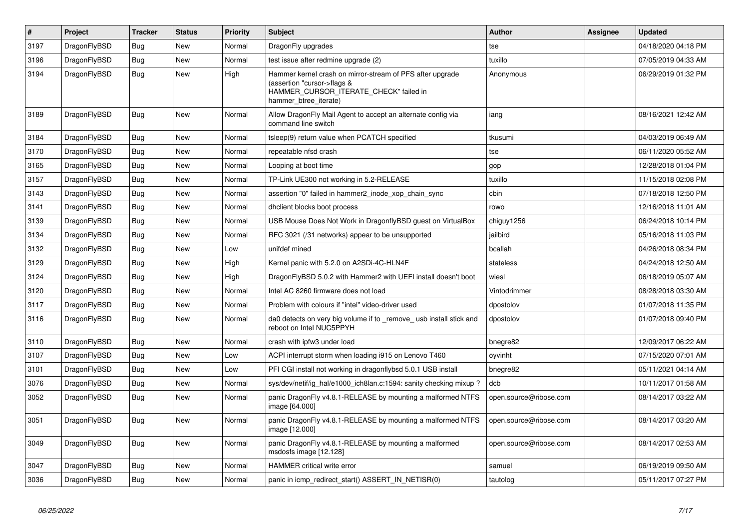| $\vert$ # | Project      | <b>Tracker</b> | <b>Status</b> | <b>Priority</b> | <b>Subject</b>                                                                                                                                              | Author                 | Assignee | <b>Updated</b>      |
|-----------|--------------|----------------|---------------|-----------------|-------------------------------------------------------------------------------------------------------------------------------------------------------------|------------------------|----------|---------------------|
| 3197      | DragonFlyBSD | Bug            | <b>New</b>    | Normal          | DragonFly upgrades                                                                                                                                          | tse                    |          | 04/18/2020 04:18 PM |
| 3196      | DragonFlyBSD | Bug            | <b>New</b>    | Normal          | test issue after redmine upgrade (2)                                                                                                                        | tuxillo                |          | 07/05/2019 04:33 AM |
| 3194      | DragonFlyBSD | Bug            | New           | High            | Hammer kernel crash on mirror-stream of PFS after upgrade<br>(assertion "cursor->flags &<br>HAMMER_CURSOR_ITERATE_CHECK" failed in<br>hammer_btree_iterate) | Anonymous              |          | 06/29/2019 01:32 PM |
| 3189      | DragonFlyBSD | <b>Bug</b>     | New           | Normal          | Allow DragonFly Mail Agent to accept an alternate config via<br>command line switch                                                                         | iang                   |          | 08/16/2021 12:42 AM |
| 3184      | DragonFlyBSD | Bug            | New           | Normal          | tsleep(9) return value when PCATCH specified                                                                                                                | tkusumi                |          | 04/03/2019 06:49 AM |
| 3170      | DragonFlyBSD | Bug            | <b>New</b>    | Normal          | repeatable nfsd crash                                                                                                                                       | tse                    |          | 06/11/2020 05:52 AM |
| 3165      | DragonFlyBSD | <b>Bug</b>     | New           | Normal          | Looping at boot time                                                                                                                                        | gop                    |          | 12/28/2018 01:04 PM |
| 3157      | DragonFlyBSD | Bug            | New           | Normal          | TP-Link UE300 not working in 5.2-RELEASE                                                                                                                    | tuxillo                |          | 11/15/2018 02:08 PM |
| 3143      | DragonFlyBSD | <b>Bug</b>     | New           | Normal          | assertion "0" failed in hammer2_inode_xop_chain_sync                                                                                                        | cbin                   |          | 07/18/2018 12:50 PM |
| 3141      | DragonFlyBSD | <b>Bug</b>     | <b>New</b>    | Normal          | dhclient blocks boot process                                                                                                                                | rowo                   |          | 12/16/2018 11:01 AM |
| 3139      | DragonFlyBSD | Bug            | <b>New</b>    | Normal          | USB Mouse Does Not Work in DragonflyBSD guest on VirtualBox                                                                                                 | chiguy1256             |          | 06/24/2018 10:14 PM |
| 3134      | DragonFlyBSD | <b>Bug</b>     | <b>New</b>    | Normal          | RFC 3021 (/31 networks) appear to be unsupported                                                                                                            | iailbird               |          | 05/16/2018 11:03 PM |
| 3132      | DragonFlyBSD | Bug            | New           | Low             | unifdef mined                                                                                                                                               | bcallah                |          | 04/26/2018 08:34 PM |
| 3129      | DragonFlyBSD | <b>Bug</b>     | <b>New</b>    | High            | Kernel panic with 5.2.0 on A2SDi-4C-HLN4F                                                                                                                   | stateless              |          | 04/24/2018 12:50 AM |
| 3124      | DragonFlyBSD | <b>Bug</b>     | <b>New</b>    | High            | DragonFlyBSD 5.0.2 with Hammer2 with UEFI install doesn't boot                                                                                              | wiesl                  |          | 06/18/2019 05:07 AM |
| 3120      | DragonFlyBSD | Bug            | <b>New</b>    | Normal          | Intel AC 8260 firmware does not load                                                                                                                        | Vintodrimmer           |          | 08/28/2018 03:30 AM |
| 3117      | DragonFlyBSD | <b>Bug</b>     | <b>New</b>    | Normal          | Problem with colours if "intel" video-driver used                                                                                                           | dpostolov              |          | 01/07/2018 11:35 PM |
| 3116      | DragonFlyBSD | <b>Bug</b>     | New           | Normal          | da0 detects on very big volume if to remove usb install stick and<br>reboot on Intel NUC5PPYH                                                               | dpostolov              |          | 01/07/2018 09:40 PM |
| 3110      | DragonFlyBSD | <b>Bug</b>     | <b>New</b>    | Normal          | crash with ipfw3 under load                                                                                                                                 | bnegre82               |          | 12/09/2017 06:22 AM |
| 3107      | DragonFlyBSD | <b>Bug</b>     | <b>New</b>    | Low             | ACPI interrupt storm when loading i915 on Lenovo T460                                                                                                       | oyvinht                |          | 07/15/2020 07:01 AM |
| 3101      | DragonFlyBSD | <b>Bug</b>     | <b>New</b>    | Low             | PFI CGI install not working in dragonflybsd 5.0.1 USB install                                                                                               | bnegre82               |          | 05/11/2021 04:14 AM |
| 3076      | DragonFlyBSD | <b>Bug</b>     | <b>New</b>    | Normal          | sys/dev/netif/ig hal/e1000 ich8lan.c:1594: sanity checking mixup?                                                                                           | dcb                    |          | 10/11/2017 01:58 AM |
| 3052      | DragonFlyBSD | <b>Bug</b>     | New           | Normal          | panic DragonFly v4.8.1-RELEASE by mounting a malformed NTFS<br>image [64.000]                                                                               | open.source@ribose.com |          | 08/14/2017 03:22 AM |
| 3051      | DragonFlyBSD | Bug            | <b>New</b>    | Normal          | panic DragonFly v4.8.1-RELEASE by mounting a malformed NTFS<br>image [12.000]                                                                               | open.source@ribose.com |          | 08/14/2017 03:20 AM |
| 3049      | DragonFlyBSD | <b>Bug</b>     | <b>New</b>    | Normal          | panic DragonFly v4.8.1-RELEASE by mounting a malformed<br>msdosfs image [12.128]                                                                            | open.source@ribose.com |          | 08/14/2017 02:53 AM |
| 3047      | DragonFlyBSD | <b>Bug</b>     | <b>New</b>    | Normal          | HAMMER critical write error                                                                                                                                 | samuel                 |          | 06/19/2019 09:50 AM |
| 3036      | DragonFlyBSD | Bug            | <b>New</b>    | Normal          | panic in icmp_redirect_start() ASSERT_IN_NETISR(0)                                                                                                          | tautolog               |          | 05/11/2017 07:27 PM |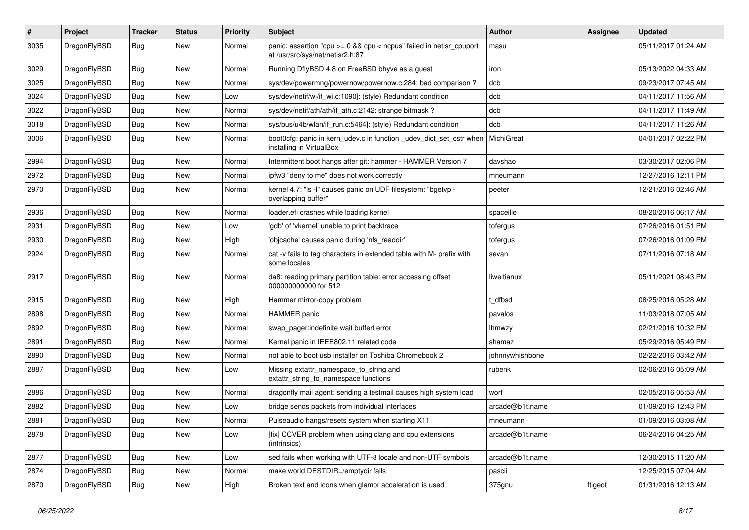| $\pmb{\#}$ | Project      | <b>Tracker</b> | <b>Status</b> | <b>Priority</b> | Subject                                                                                                   | Author          | <b>Assignee</b> | <b>Updated</b>      |
|------------|--------------|----------------|---------------|-----------------|-----------------------------------------------------------------------------------------------------------|-----------------|-----------------|---------------------|
| 3035       | DragonFlyBSD | Bug            | New           | Normal          | panic: assertion "cpu $>= 0$ && cpu < ncpus" failed in netisr cpuport<br>at /usr/src/sys/net/netisr2.h:87 | masu            |                 | 05/11/2017 01:24 AM |
| 3029       | DragonFlyBSD | <b>Bug</b>     | <b>New</b>    | Normal          | Running DflyBSD 4.8 on FreeBSD bhyve as a guest                                                           | iron            |                 | 05/13/2022 04:33 AM |
| 3025       | DragonFlyBSD | Bug            | <b>New</b>    | Normal          | sys/dev/powermng/powernow/powernow.c:284: bad comparison?                                                 | dcb             |                 | 09/23/2017 07:45 AM |
| 3024       | DragonFlyBSD | <b>Bug</b>     | <b>New</b>    | Low             | sys/dev/netif/wi/if_wi.c:1090]: (style) Redundant condition                                               | dcb             |                 | 04/11/2017 11:56 AM |
| 3022       | DragonFlyBSD | <b>Bug</b>     | <b>New</b>    | Normal          | sys/dev/netif/ath/ath/if ath.c:2142: strange bitmask?                                                     | dcb             |                 | 04/11/2017 11:49 AM |
| 3018       | DragonFlyBSD | <b>Bug</b>     | <b>New</b>    | Normal          | sys/bus/u4b/wlan/if_run.c:5464]: (style) Redundant condition                                              | dcb             |                 | 04/11/2017 11:26 AM |
| 3006       | DragonFlyBSD | Bug            | New           | Normal          | boot0cfg: panic in kern_udev.c in function _udev_dict_set_cstr when<br>installing in VirtualBox           | MichiGreat      |                 | 04/01/2017 02:22 PM |
| 2994       | DragonFlyBSD | <b>Bug</b>     | <b>New</b>    | Normal          | Intermittent boot hangs after git: hammer - HAMMER Version 7                                              | davshao         |                 | 03/30/2017 02:06 PM |
| 2972       | DragonFlyBSD | Bug            | <b>New</b>    | Normal          | ipfw3 "deny to me" does not work correctly                                                                | mneumann        |                 | 12/27/2016 12:11 PM |
| 2970       | DragonFlyBSD | Bug            | New           | Normal          | kernel 4.7: "Is -I" causes panic on UDF filesystem: "bgetvp -<br>overlapping buffer"                      | peeter          |                 | 12/21/2016 02:46 AM |
| 2936       | DragonFlyBSD | <b>Bug</b>     | <b>New</b>    | Normal          | loader.efi crashes while loading kernel                                                                   | spaceille       |                 | 08/20/2016 06:17 AM |
| 2931       | DragonFlyBSD | Bug            | <b>New</b>    | Low             | 'gdb' of 'vkernel' unable to print backtrace                                                              | tofergus        |                 | 07/26/2016 01:51 PM |
| 2930       | DragonFlyBSD | <b>Bug</b>     | <b>New</b>    | High            | 'objcache' causes panic during 'nfs_readdir'                                                              | tofergus        |                 | 07/26/2016 01:09 PM |
| 2924       | DragonFlyBSD | Bug            | <b>New</b>    | Normal          | cat -v fails to tag characters in extended table with M- prefix with<br>some locales                      | sevan           |                 | 07/11/2016 07:18 AM |
| 2917       | DragonFlyBSD | Bug            | <b>New</b>    | Normal          | da8: reading primary partition table: error accessing offset<br>000000000000 for 512                      | liweitianux     |                 | 05/11/2021 08:43 PM |
| 2915       | DragonFlyBSD | <b>Bug</b>     | <b>New</b>    | High            | Hammer mirror-copy problem                                                                                | t dfbsd         |                 | 08/25/2016 05:28 AM |
| 2898       | DragonFlyBSD | <b>Bug</b>     | <b>New</b>    | Normal          | HAMMER panic                                                                                              | pavalos         |                 | 11/03/2018 07:05 AM |
| 2892       | DragonFlyBSD | Bug            | <b>New</b>    | Normal          | swap pager:indefinite wait bufferf error                                                                  | <b>Ihmwzy</b>   |                 | 02/21/2016 10:32 PM |
| 2891       | DragonFlyBSD | <b>Bug</b>     | <b>New</b>    | Normal          | Kernel panic in IEEE802.11 related code                                                                   | shamaz          |                 | 05/29/2016 05:49 PM |
| 2890       | DragonFlyBSD | <b>Bug</b>     | <b>New</b>    | Normal          | not able to boot usb installer on Toshiba Chromebook 2                                                    | johnnywhishbone |                 | 02/22/2016 03:42 AM |
| 2887       | DragonFlyBSD | Bug            | <b>New</b>    | Low             | Missing extattr_namespace_to_string and<br>extattr_string_to_namespace functions                          | rubenk          |                 | 02/06/2016 05:09 AM |
| 2886       | DragonFlyBSD | Bug            | <b>New</b>    | Normal          | dragonfly mail agent: sending a testmail causes high system load                                          | worf            |                 | 02/05/2016 05:53 AM |
| 2882       | DragonFlyBSD | <b>Bug</b>     | <b>New</b>    | Low             | bridge sends packets from individual interfaces                                                           | arcade@b1t.name |                 | 01/09/2016 12:43 PM |
| 2881       | DragonFlvBSD | Bug            | New           | Normal          | Pulseaudio hangs/resets system when starting X11                                                          | mneumann        |                 | 01/09/2016 03:08 AM |
| 2878       | DragonFlyBSD | Bug            | New           | Low             | [fix] CCVER problem when using clang and cpu extensions<br>(intrinsics)                                   | arcade@b1t.name |                 | 06/24/2016 04:25 AM |
| 2877       | DragonFlyBSD | <b>Bug</b>     | New           | Low             | sed fails when working with UTF-8 locale and non-UTF symbols                                              | arcade@b1t.name |                 | 12/30/2015 11:20 AM |
| 2874       | DragonFlyBSD | <b>Bug</b>     | New           | Normal          | make world DESTDIR=/emptydir fails                                                                        | pascii          |                 | 12/25/2015 07:04 AM |
| 2870       | DragonFlyBSD | Bug            | New           | High            | Broken text and icons when glamor acceleration is used                                                    | 375gnu          | ftigeot         | 01/31/2016 12:13 AM |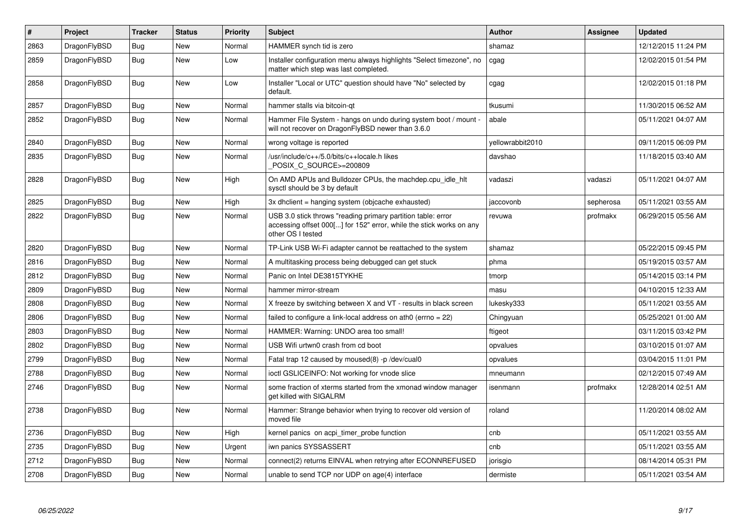| $\pmb{\#}$ | Project      | <b>Tracker</b> | <b>Status</b> | <b>Priority</b> | <b>Subject</b>                                                                                                                                           | <b>Author</b>    | Assignee  | Updated             |
|------------|--------------|----------------|---------------|-----------------|----------------------------------------------------------------------------------------------------------------------------------------------------------|------------------|-----------|---------------------|
| 2863       | DragonFlyBSD | <b>Bug</b>     | <b>New</b>    | Normal          | HAMMER synch tid is zero                                                                                                                                 | shamaz           |           | 12/12/2015 11:24 PM |
| 2859       | DragonFlyBSD | <b>Bug</b>     | <b>New</b>    | Low             | Installer configuration menu always highlights "Select timezone", no<br>matter which step was last completed.                                            | cgag             |           | 12/02/2015 01:54 PM |
| 2858       | DragonFlyBSD | <b>Bug</b>     | <b>New</b>    | Low             | Installer "Local or UTC" question should have "No" selected by<br>default.                                                                               | cgag             |           | 12/02/2015 01:18 PM |
| 2857       | DragonFlyBSD | <b>Bug</b>     | New           | Normal          | hammer stalls via bitcoin-qt                                                                                                                             | tkusumi          |           | 11/30/2015 06:52 AM |
| 2852       | DragonFlyBSD | Bug            | New           | Normal          | Hammer File System - hangs on undo during system boot / mount -<br>will not recover on DragonFlyBSD newer than 3.6.0                                     | abale            |           | 05/11/2021 04:07 AM |
| 2840       | DragonFlyBSD | Bug            | <b>New</b>    | Normal          | wrong voltage is reported                                                                                                                                | yellowrabbit2010 |           | 09/11/2015 06:09 PM |
| 2835       | DragonFlyBSD | <b>Bug</b>     | New           | Normal          | /usr/include/c++/5.0/bits/c++locale.h likes<br>POSIX_C_SOURCE>=200809                                                                                    | davshao          |           | 11/18/2015 03:40 AM |
| 2828       | DragonFlyBSD | Bug            | New           | High            | On AMD APUs and Bulldozer CPUs, the machdep.cpu_idle_hlt<br>sysctl should be 3 by default                                                                | vadaszi          | vadaszi   | 05/11/2021 04:07 AM |
| 2825       | DragonFlyBSD | Bug            | <b>New</b>    | High            | 3x dhclient = hanging system (objcache exhausted)                                                                                                        | jaccovonb        | sepherosa | 05/11/2021 03:55 AM |
| 2822       | DragonFlyBSD | Bug            | <b>New</b>    | Normal          | USB 3.0 stick throws "reading primary partition table: error<br>accessing offset 000[] for 152" error, while the stick works on any<br>other OS I tested | revuwa           | profmakx  | 06/29/2015 05:56 AM |
| 2820       | DragonFlyBSD | <b>Bug</b>     | <b>New</b>    | Normal          | TP-Link USB Wi-Fi adapter cannot be reattached to the system                                                                                             | shamaz           |           | 05/22/2015 09:45 PM |
| 2816       | DragonFlyBSD | <b>Bug</b>     | <b>New</b>    | Normal          | A multitasking process being debugged can get stuck                                                                                                      | phma             |           | 05/19/2015 03:57 AM |
| 2812       | DragonFlyBSD | <b>Bug</b>     | <b>New</b>    | Normal          | Panic on Intel DE3815TYKHE                                                                                                                               | tmorp            |           | 05/14/2015 03:14 PM |
| 2809       | DragonFlyBSD | Bug            | New           | Normal          | hammer mirror-stream                                                                                                                                     | masu             |           | 04/10/2015 12:33 AM |
| 2808       | DragonFlyBSD | <b>Bug</b>     | <b>New</b>    | Normal          | X freeze by switching between X and VT - results in black screen                                                                                         | lukesky333       |           | 05/11/2021 03:55 AM |
| 2806       | DragonFlyBSD | Bug            | <b>New</b>    | Normal          | failed to configure a link-local address on ath0 (errno $= 22$ )                                                                                         | Chingyuan        |           | 05/25/2021 01:00 AM |
| 2803       | DragonFlyBSD | Bug            | <b>New</b>    | Normal          | HAMMER: Warning: UNDO area too small!                                                                                                                    | ftigeot          |           | 03/11/2015 03:42 PM |
| 2802       | DragonFlyBSD | <b>Bug</b>     | <b>New</b>    | Normal          | USB Wifi urtwn0 crash from cd boot                                                                                                                       | opvalues         |           | 03/10/2015 01:07 AM |
| 2799       | DragonFlyBSD | Bug            | <b>New</b>    | Normal          | Fatal trap 12 caused by moused(8) -p/dev/cual0                                                                                                           | opvalues         |           | 03/04/2015 11:01 PM |
| 2788       | DragonFlyBSD | <b>Bug</b>     | <b>New</b>    | Normal          | ioctl GSLICEINFO: Not working for vnode slice                                                                                                            | mneumann         |           | 02/12/2015 07:49 AM |
| 2746       | DragonFlyBSD | <b>Bug</b>     | <b>New</b>    | Normal          | some fraction of xterms started from the xmonad window manager<br>aet killed with SIGALRM                                                                | isenmann         | profmakx  | 12/28/2014 02:51 AM |
| 2738       | DragonFlyBSD | <b>Bug</b>     | <b>New</b>    | Normal          | Hammer: Strange behavior when trying to recover old version of<br>moved file                                                                             | roland           |           | 11/20/2014 08:02 AM |
| 2736       | DragonFlyBSD | Bug            | <b>New</b>    | High            | kernel panics on acpi_timer_probe function                                                                                                               | cnb              |           | 05/11/2021 03:55 AM |
| 2735       | DragonFlyBSD | Bug            | <b>New</b>    | Urgent          | iwn panics SYSSASSERT                                                                                                                                    | cnb              |           | 05/11/2021 03:55 AM |
| 2712       | DragonFlyBSD | <b>Bug</b>     | <b>New</b>    | Normal          | connect(2) returns EINVAL when retrying after ECONNREFUSED                                                                                               | jorisgio         |           | 08/14/2014 05:31 PM |
| 2708       | DragonFlyBSD | Bug            | <b>New</b>    | Normal          | unable to send TCP nor UDP on age(4) interface                                                                                                           | dermiste         |           | 05/11/2021 03:54 AM |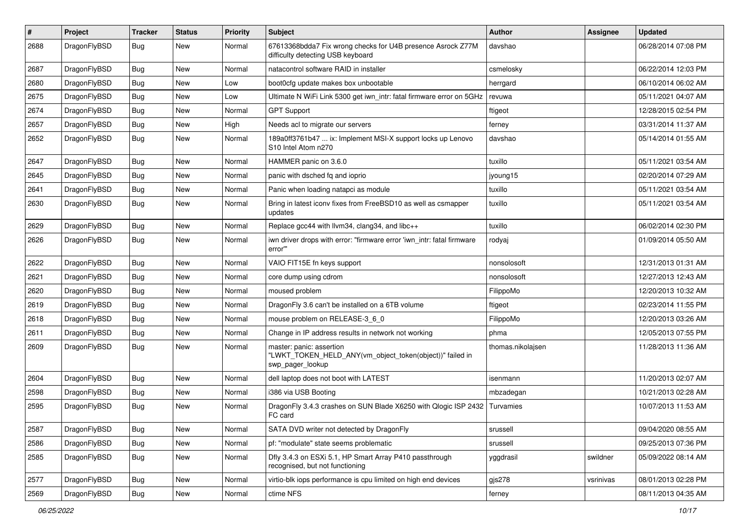| $\pmb{\#}$ | Project      | <b>Tracker</b> | <b>Status</b> | <b>Priority</b> | Subject                                                                                                  | Author            | <b>Assignee</b> | <b>Updated</b>      |
|------------|--------------|----------------|---------------|-----------------|----------------------------------------------------------------------------------------------------------|-------------------|-----------------|---------------------|
| 2688       | DragonFlyBSD | Bug            | New           | Normal          | 67613368bdda7 Fix wrong checks for U4B presence Asrock Z77M<br>difficulty detecting USB keyboard         | davshao           |                 | 06/28/2014 07:08 PM |
| 2687       | DragonFlyBSD | Bug            | <b>New</b>    | Normal          | natacontrol software RAID in installer                                                                   | csmelosky         |                 | 06/22/2014 12:03 PM |
| 2680       | DragonFlyBSD | <b>Bug</b>     | <b>New</b>    | Low             | boot0cfg update makes box unbootable                                                                     | herrgard          |                 | 06/10/2014 06:02 AM |
| 2675       | DragonFlyBSD | Bug            | <b>New</b>    | Low             | Ultimate N WiFi Link 5300 get iwn_intr: fatal firmware error on 5GHz                                     | revuwa            |                 | 05/11/2021 04:07 AM |
| 2674       | DragonFlyBSD | Bug            | New           | Normal          | <b>GPT Support</b>                                                                                       | ftigeot           |                 | 12/28/2015 02:54 PM |
| 2657       | DragonFlyBSD | Bug            | <b>New</b>    | High            | Needs acl to migrate our servers                                                                         | ferney            |                 | 03/31/2014 11:37 AM |
| 2652       | DragonFlyBSD | Bug            | New           | Normal          | 189a0ff3761b47  ix: Implement MSI-X support locks up Lenovo<br>S10 Intel Atom n270                       | davshao           |                 | 05/14/2014 01:55 AM |
| 2647       | DragonFlyBSD | Bug            | <b>New</b>    | Normal          | HAMMER panic on 3.6.0                                                                                    | tuxillo           |                 | 05/11/2021 03:54 AM |
| 2645       | DragonFlyBSD | Bug            | New           | Normal          | panic with dsched fq and ioprio                                                                          | jyoung15          |                 | 02/20/2014 07:29 AM |
| 2641       | DragonFlyBSD | Bug            | <b>New</b>    | Normal          | Panic when loading natapci as module                                                                     | tuxillo           |                 | 05/11/2021 03:54 AM |
| 2630       | DragonFlyBSD | Bug            | New           | Normal          | Bring in latest iconv fixes from FreeBSD10 as well as csmapper<br>updates                                | tuxillo           |                 | 05/11/2021 03:54 AM |
| 2629       | DragonFlyBSD | Bug            | <b>New</b>    | Normal          | Replace gcc44 with llvm34, clang34, and libc++                                                           | tuxillo           |                 | 06/02/2014 02:30 PM |
| 2626       | DragonFlyBSD | Bug            | New           | Normal          | iwn driver drops with error: "firmware error 'iwn_intr: fatal firmware<br>error"                         | rodyaj            |                 | 01/09/2014 05:50 AM |
| 2622       | DragonFlyBSD | Bug            | <b>New</b>    | Normal          | VAIO FIT15E fn keys support                                                                              | nonsolosoft       |                 | 12/31/2013 01:31 AM |
| 2621       | DragonFlyBSD | Bug            | <b>New</b>    | Normal          | core dump using cdrom                                                                                    | nonsolosoft       |                 | 12/27/2013 12:43 AM |
| 2620       | DragonFlyBSD | Bug            | New           | Normal          | moused problem                                                                                           | FilippoMo         |                 | 12/20/2013 10:32 AM |
| 2619       | DragonFlyBSD | Bug            | <b>New</b>    | Normal          | DragonFly 3.6 can't be installed on a 6TB volume                                                         | ftigeot           |                 | 02/23/2014 11:55 PM |
| 2618       | DragonFlyBSD | Bug            | New           | Normal          | mouse problem on RELEASE-3_6_0                                                                           | FilippoMo         |                 | 12/20/2013 03:26 AM |
| 2611       | DragonFlyBSD | Bug            | New           | Normal          | Change in IP address results in network not working                                                      | phma              |                 | 12/05/2013 07:55 PM |
| 2609       | DragonFlyBSD | Bug            | New           | Normal          | master: panic: assertion<br>"LWKT_TOKEN_HELD_ANY(vm_object_token(object))" failed in<br>swp_pager_lookup | thomas.nikolajsen |                 | 11/28/2013 11:36 AM |
| 2604       | DragonFlyBSD | <b>Bug</b>     | <b>New</b>    | Normal          | dell laptop does not boot with LATEST                                                                    | isenmann          |                 | 11/20/2013 02:07 AM |
| 2598       | DragonFlyBSD | Bug            | New           | Normal          | i386 via USB Booting                                                                                     | mbzadegan         |                 | 10/21/2013 02:28 AM |
| 2595       | DragonFlyBSD | Bug            | New           | Normal          | DragonFly 3.4.3 crashes on SUN Blade X6250 with Qlogic ISP 2432<br>FC card                               | Turvamies         |                 | 10/07/2013 11:53 AM |
| 2587       | DragonFlyBSD | <b>Bug</b>     | New           | Normal          | SATA DVD writer not detected by DragonFly                                                                | srussell          |                 | 09/04/2020 08:55 AM |
| 2586       | DragonFlyBSD | <b>Bug</b>     | New           | Normal          | pf: "modulate" state seems problematic                                                                   | srussell          |                 | 09/25/2013 07:36 PM |
| 2585       | DragonFlyBSD | Bug            | New           | Normal          | Dfly 3.4.3 on ESXi 5.1, HP Smart Array P410 passthrough<br>recognised, but not functioning               | yggdrasil         | swildner        | 05/09/2022 08:14 AM |
| 2577       | DragonFlyBSD | <b>Bug</b>     | New           | Normal          | virtio-blk iops performance is cpu limited on high end devices                                           | $g$ js $278$      | vsrinivas       | 08/01/2013 02:28 PM |
| 2569       | DragonFlyBSD | Bug            | New           | Normal          | ctime NFS                                                                                                | ferney            |                 | 08/11/2013 04:35 AM |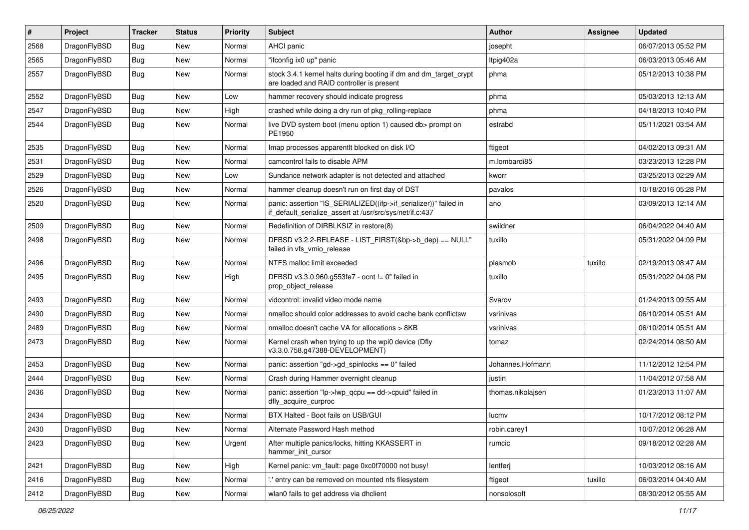| $\vert$ # | Project      | <b>Tracker</b> | <b>Status</b> | <b>Priority</b> | <b>Subject</b>                                                                                                               | Author            | Assignee | <b>Updated</b>      |
|-----------|--------------|----------------|---------------|-----------------|------------------------------------------------------------------------------------------------------------------------------|-------------------|----------|---------------------|
| 2568      | DragonFlyBSD | Bug            | <b>New</b>    | Normal          | <b>AHCI</b> panic                                                                                                            | josepht           |          | 06/07/2013 05:52 PM |
| 2565      | DragonFlyBSD | <b>Bug</b>     | <b>New</b>    | Normal          | "ifconfig ix0 up" panic                                                                                                      | ltpig402a         |          | 06/03/2013 05:46 AM |
| 2557      | DragonFlyBSD | Bug            | <b>New</b>    | Normal          | stock 3.4.1 kernel halts during booting if dm and dm_target_crypt<br>are loaded and RAID controller is present               | phma              |          | 05/12/2013 10:38 PM |
| 2552      | DragonFlyBSD | Bug            | <b>New</b>    | Low             | hammer recovery should indicate progress                                                                                     | phma              |          | 05/03/2013 12:13 AM |
| 2547      | DragonFlyBSD | <b>Bug</b>     | New           | High            | crashed while doing a dry run of pkg rolling-replace                                                                         | phma              |          | 04/18/2013 10:40 PM |
| 2544      | DragonFlyBSD | Bug            | <b>New</b>    | Normal          | live DVD system boot (menu option 1) caused db> prompt on<br>PE1950                                                          | estrabd           |          | 05/11/2021 03:54 AM |
| 2535      | DragonFlyBSD | Bug            | <b>New</b>    | Normal          | Imap processes apparentlt blocked on disk I/O                                                                                | ftigeot           |          | 04/02/2013 09:31 AM |
| 2531      | DragonFlyBSD | <b>Bug</b>     | <b>New</b>    | Normal          | camcontrol fails to disable APM                                                                                              | m.lombardi85      |          | 03/23/2013 12:28 PM |
| 2529      | DragonFlyBSD | Bug            | <b>New</b>    | Low             | Sundance network adapter is not detected and attached                                                                        | kworr             |          | 03/25/2013 02:29 AM |
| 2526      | DragonFlyBSD | Bug            | <b>New</b>    | Normal          | hammer cleanup doesn't run on first day of DST                                                                               | pavalos           |          | 10/18/2016 05:28 PM |
| 2520      | DragonFlyBSD | Bug            | <b>New</b>    | Normal          | panic: assertion "IS_SERIALIZED((ifp->if_serializer))" failed in<br>if_default_serialize_assert at /usr/src/sys/net/if.c:437 | ano               |          | 03/09/2013 12:14 AM |
| 2509      | DragonFlyBSD | <b>Bug</b>     | <b>New</b>    | Normal          | Redefinition of DIRBLKSIZ in restore(8)                                                                                      | swildner          |          | 06/04/2022 04:40 AM |
| 2498      | DragonFlyBSD | Bug            | <b>New</b>    | Normal          | DFBSD v3.2.2-RELEASE - LIST_FIRST(&bp->b_dep) == NULL"<br>failed in vfs_vmio_release                                         | tuxillo           |          | 05/31/2022 04:09 PM |
| 2496      | DragonFlyBSD | Bug            | New           | Normal          | NTFS malloc limit exceeded                                                                                                   | plasmob           | tuxillo  | 02/19/2013 08:47 AM |
| 2495      | DragonFlyBSD | Bug            | <b>New</b>    | High            | DFBSD v3.3.0.960.g553fe7 - ocnt != 0" failed in<br>prop_object_release                                                       | tuxillo           |          | 05/31/2022 04:08 PM |
| 2493      | DragonFlyBSD | Bug            | <b>New</b>    | Normal          | vidcontrol: invalid video mode name                                                                                          | Svarov            |          | 01/24/2013 09:55 AM |
| 2490      | DragonFlyBSD | <b>Bug</b>     | New           | Normal          | nmalloc should color addresses to avoid cache bank conflictsw                                                                | vsrinivas         |          | 06/10/2014 05:51 AM |
| 2489      | DragonFlyBSD | Bug            | <b>New</b>    | Normal          | nmalloc doesn't cache VA for allocations > 8KB                                                                               | vsrinivas         |          | 06/10/2014 05:51 AM |
| 2473      | DragonFlyBSD | Bug            | New           | Normal          | Kernel crash when trying to up the wpi0 device (Dfly<br>v3.3.0.758.g47388-DEVELOPMENT)                                       | tomaz             |          | 02/24/2014 08:50 AM |
| 2453      | DragonFlyBSD | <b>Bug</b>     | New           | Normal          | panic: assertion "gd->gd_spinlocks == 0" failed                                                                              | Johannes.Hofmann  |          | 11/12/2012 12:54 PM |
| 2444      | DragonFlyBSD | <b>Bug</b>     | <b>New</b>    | Normal          | Crash during Hammer overnight cleanup                                                                                        | justin            |          | 11/04/2012 07:58 AM |
| 2436      | DragonFlyBSD | Bug            | <b>New</b>    | Normal          | panic: assertion "lp->lwp_qcpu == dd->cpuid" failed in<br>dfly_acquire_curproc                                               | thomas.nikolajsen |          | 01/23/2013 11:07 AM |
| 2434      | DragonFlyBSD | Bug            | <b>New</b>    | Normal          | BTX Halted - Boot fails on USB/GUI                                                                                           | lucmv             |          | 10/17/2012 08:12 PM |
| 2430      | DragonFlyBSD | Bug            | New           | Normal          | Alternate Password Hash method                                                                                               | robin.carey1      |          | 10/07/2012 06:28 AM |
| 2423      | DragonFlyBSD | <b>Bug</b>     | New           | Urgent          | After multiple panics/locks, hitting KKASSERT in<br>hammer_init_cursor                                                       | rumcic            |          | 09/18/2012 02:28 AM |
| 2421      | DragonFlyBSD | <b>Bug</b>     | New           | High            | Kernel panic: vm_fault: page 0xc0f70000 not busy!                                                                            | lentferj          |          | 10/03/2012 08:16 AM |
| 2416      | DragonFlyBSD | <b>Bug</b>     | New           | Normal          | 'entry can be removed on mounted nfs filesystem                                                                              | ftigeot           | tuxillo  | 06/03/2014 04:40 AM |
| 2412      | DragonFlyBSD | Bug            | New           | Normal          | wlan0 fails to get address via dhclient                                                                                      | nonsolosoft       |          | 08/30/2012 05:55 AM |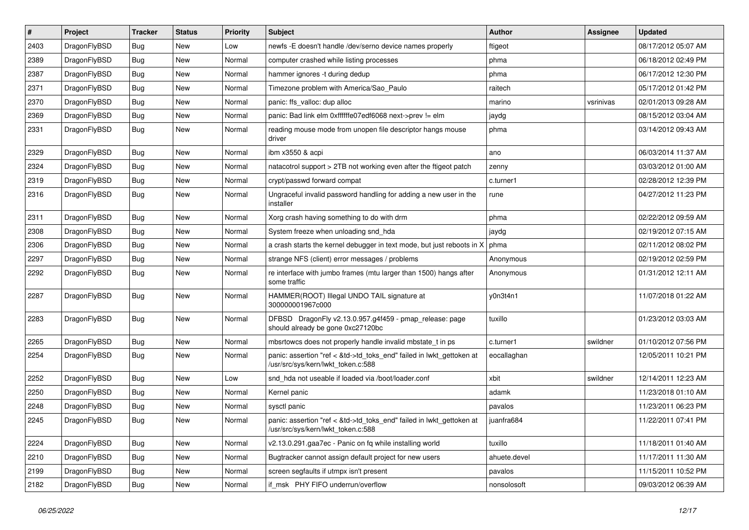| $\sharp$ | Project      | <b>Tracker</b> | <b>Status</b> | <b>Priority</b> | <b>Subject</b>                                                                                             | Author       | Assignee  | <b>Updated</b>      |
|----------|--------------|----------------|---------------|-----------------|------------------------------------------------------------------------------------------------------------|--------------|-----------|---------------------|
| 2403     | DragonFlyBSD | Bug            | New           | Low             | newfs -E doesn't handle /dev/serno device names properly                                                   | ftigeot      |           | 08/17/2012 05:07 AM |
| 2389     | DragonFlyBSD | Bug            | New           | Normal          | computer crashed while listing processes                                                                   | phma         |           | 06/18/2012 02:49 PM |
| 2387     | DragonFlyBSD | Bug            | New           | Normal          | hammer ignores -t during dedup                                                                             | phma         |           | 06/17/2012 12:30 PM |
| 2371     | DragonFlyBSD | Bug            | New           | Normal          | Timezone problem with America/Sao_Paulo                                                                    | raitech      |           | 05/17/2012 01:42 PM |
| 2370     | DragonFlyBSD | Bug            | <b>New</b>    | Normal          | panic: ffs_valloc: dup alloc                                                                               | marino       | vsrinivas | 02/01/2013 09:28 AM |
| 2369     | DragonFlyBSD | Bug            | <b>New</b>    | Normal          | panic: Bad link elm 0xffffffe07edf6068 next->prev != elm                                                   | jaydg        |           | 08/15/2012 03:04 AM |
| 2331     | DragonFlyBSD | Bug            | New           | Normal          | reading mouse mode from unopen file descriptor hangs mouse<br>driver                                       | phma         |           | 03/14/2012 09:43 AM |
| 2329     | DragonFlyBSD | Bug            | New           | Normal          | ibm x3550 & acpi                                                                                           | ano          |           | 06/03/2014 11:37 AM |
| 2324     | DragonFlyBSD | Bug            | <b>New</b>    | Normal          | natacotrol support > 2TB not working even after the ftigeot patch                                          | zenny        |           | 03/03/2012 01:00 AM |
| 2319     | DragonFlyBSD | Bug            | New           | Normal          | crypt/passwd forward compat                                                                                | c.turner1    |           | 02/28/2012 12:39 PM |
| 2316     | DragonFlyBSD | Bug            | <b>New</b>    | Normal          | Ungraceful invalid password handling for adding a new user in the<br>installer                             | rune         |           | 04/27/2012 11:23 PM |
| 2311     | DragonFlyBSD | Bug            | New           | Normal          | Xorg crash having something to do with drm                                                                 | phma         |           | 02/22/2012 09:59 AM |
| 2308     | DragonFlyBSD | <b>Bug</b>     | New           | Normal          | System freeze when unloading snd_hda                                                                       | jaydg        |           | 02/19/2012 07:15 AM |
| 2306     | DragonFlyBSD | <b>Bug</b>     | <b>New</b>    | Normal          | a crash starts the kernel debugger in text mode, but just reboots in X                                     | phma         |           | 02/11/2012 08:02 PM |
| 2297     | DragonFlyBSD | <b>Bug</b>     | New           | Normal          | strange NFS (client) error messages / problems                                                             | Anonymous    |           | 02/19/2012 02:59 PM |
| 2292     | DragonFlyBSD | Bug            | New           | Normal          | re interface with jumbo frames (mtu larger than 1500) hangs after<br>some traffic                          | Anonymous    |           | 01/31/2012 12:11 AM |
| 2287     | DragonFlyBSD | Bug            | <b>New</b>    | Normal          | HAMMER(ROOT) Illegal UNDO TAIL signature at<br>300000001967c000                                            | y0n3t4n1     |           | 11/07/2018 01:22 AM |
| 2283     | DragonFlyBSD | Bug            | New           | Normal          | DFBSD DragonFly v2.13.0.957.g4f459 - pmap_release: page<br>should already be gone 0xc27120bc               | tuxillo      |           | 01/23/2012 03:03 AM |
| 2265     | DragonFlyBSD | <b>Bug</b>     | New           | Normal          | mbsrtowcs does not properly handle invalid mbstate_t in ps                                                 | c.turner1    | swildner  | 01/10/2012 07:56 PM |
| 2254     | DragonFlyBSD | <b>Bug</b>     | New           | Normal          | panic: assertion "ref < &td->td_toks_end" failed in lwkt_gettoken at<br>/usr/src/sys/kern/lwkt_token.c:588 | eocallaghan  |           | 12/05/2011 10:21 PM |
| 2252     | DragonFlyBSD | Bug            | <b>New</b>    | Low             | snd hda not useable if loaded via /boot/loader.conf                                                        | xbit         | swildner  | 12/14/2011 12:23 AM |
| 2250     | DragonFlyBSD | <b>Bug</b>     | New           | Normal          | Kernel panic                                                                                               | adamk        |           | 11/23/2018 01:10 AM |
| 2248     | DragonFlyBSD | Bug            | <b>New</b>    | Normal          | sysctl panic                                                                                               | pavalos      |           | 11/23/2011 06:23 PM |
| 2245     | DragonFlyBSD | Bug            | <b>New</b>    | Normal          | panic: assertion "ref < &td->td toks end" failed in lwkt gettoken at<br>/usr/src/sys/kern/lwkt_token.c:588 | juanfra684   |           | 11/22/2011 07:41 PM |
| 2224     | DragonFlyBSD | <b>Bug</b>     | <b>New</b>    | Normal          | v2.13.0.291.gaa7ec - Panic on fq while installing world                                                    | tuxillo      |           | 11/18/2011 01:40 AM |
| 2210     | DragonFlyBSD | Bug            | New           | Normal          | Bugtracker cannot assign default project for new users                                                     | ahuete.devel |           | 11/17/2011 11:30 AM |
| 2199     | DragonFlyBSD | <b>Bug</b>     | <b>New</b>    | Normal          | screen segfaults if utmpx isn't present                                                                    | pavalos      |           | 11/15/2011 10:52 PM |
| 2182     | DragonFlyBSD | <b>Bug</b>     | New           | Normal          | if_msk PHY FIFO underrun/overflow                                                                          | nonsolosoft  |           | 09/03/2012 06:39 AM |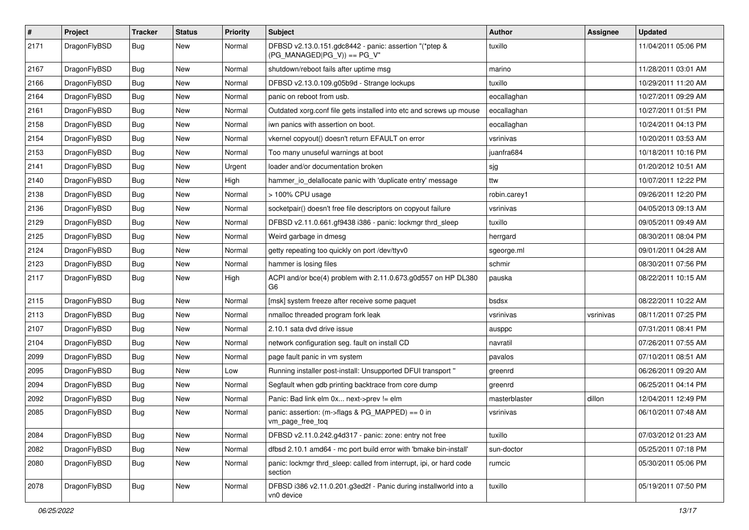| #    | Project      | <b>Tracker</b> | <b>Status</b> | <b>Priority</b> | Subject                                                                                | Author        | <b>Assignee</b> | <b>Updated</b>      |
|------|--------------|----------------|---------------|-----------------|----------------------------------------------------------------------------------------|---------------|-----------------|---------------------|
| 2171 | DragonFlyBSD | Bug            | New           | Normal          | DFBSD v2.13.0.151.gdc8442 - panic: assertion "(*ptep &<br>$(PG_MANAGED PG_V)$ == PG_V" | tuxillo       |                 | 11/04/2011 05:06 PM |
| 2167 | DragonFlyBSD | <b>Bug</b>     | <b>New</b>    | Normal          | shutdown/reboot fails after uptime msg                                                 | marino        |                 | 11/28/2011 03:01 AM |
| 2166 | DragonFlyBSD | Bug            | New           | Normal          | DFBSD v2.13.0.109.g05b9d - Strange lockups                                             | tuxillo       |                 | 10/29/2011 11:20 AM |
| 2164 | DragonFlyBSD | <b>Bug</b>     | New           | Normal          | panic on reboot from usb.                                                              | eocallaghan   |                 | 10/27/2011 09:29 AM |
| 2161 | DragonFlyBSD | <b>Bug</b>     | New           | Normal          | Outdated xorg.conf file gets installed into etc and screws up mouse                    | eocallaghan   |                 | 10/27/2011 01:51 PM |
| 2158 | DragonFlyBSD | Bug            | <b>New</b>    | Normal          | iwn panics with assertion on boot.                                                     | eocallaghan   |                 | 10/24/2011 04:13 PM |
| 2154 | DragonFlyBSD | <b>Bug</b>     | New           | Normal          | vkernel copyout() doesn't return EFAULT on error                                       | vsrinivas     |                 | 10/20/2011 03:53 AM |
| 2153 | DragonFlyBSD | Bug            | New           | Normal          | Too many unuseful warnings at boot                                                     | juanfra684    |                 | 10/18/2011 10:16 PM |
| 2141 | DragonFlyBSD | Bug            | <b>New</b>    | Urgent          | loader and/or documentation broken                                                     | sjg           |                 | 01/20/2012 10:51 AM |
| 2140 | DragonFlyBSD | <b>Bug</b>     | New           | High            | hammer_io_delallocate panic with 'duplicate entry' message                             | ttw           |                 | 10/07/2011 12:22 PM |
| 2138 | DragonFlyBSD | Bug            | <b>New</b>    | Normal          | > 100% CPU usage                                                                       | robin.carey1  |                 | 09/26/2011 12:20 PM |
| 2136 | DragonFlyBSD | <b>Bug</b>     | New           | Normal          | socketpair() doesn't free file descriptors on copyout failure                          | vsrinivas     |                 | 04/05/2013 09:13 AM |
| 2129 | DragonFlyBSD | Bug            | <b>New</b>    | Normal          | DFBSD v2.11.0.661.gf9438 i386 - panic: lockmgr thrd_sleep                              | tuxillo       |                 | 09/05/2011 09:49 AM |
| 2125 | DragonFlyBSD | Bug            | New           | Normal          | Weird garbage in dmesg                                                                 | herrgard      |                 | 08/30/2011 08:04 PM |
| 2124 | DragonFlyBSD | Bug            | New           | Normal          | getty repeating too quickly on port /dev/ttyv0                                         | sgeorge.ml    |                 | 09/01/2011 04:28 AM |
| 2123 | DragonFlyBSD | Bug            | <b>New</b>    | Normal          | hammer is losing files                                                                 | schmir        |                 | 08/30/2011 07:56 PM |
| 2117 | DragonFlyBSD | Bug            | New           | High            | ACPI and/or bce(4) problem with 2.11.0.673.g0d557 on HP DL380<br>G6                    | pauska        |                 | 08/22/2011 10:15 AM |
| 2115 | DragonFlyBSD | Bug            | <b>New</b>    | Normal          | [msk] system freeze after receive some paquet                                          | bsdsx         |                 | 08/22/2011 10:22 AM |
| 2113 | DragonFlyBSD | <b>Bug</b>     | New           | Normal          | nmalloc threaded program fork leak                                                     | vsrinivas     | vsrinivas       | 08/11/2011 07:25 PM |
| 2107 | DragonFlyBSD | Bug            | New           | Normal          | 2.10.1 sata dvd drive issue                                                            | ausppc        |                 | 07/31/2011 08:41 PM |
| 2104 | DragonFlyBSD | <b>Bug</b>     | <b>New</b>    | Normal          | network configuration seg. fault on install CD                                         | navratil      |                 | 07/26/2011 07:55 AM |
| 2099 | DragonFlyBSD | <b>Bug</b>     | New           | Normal          | page fault panic in vm system                                                          | pavalos       |                 | 07/10/2011 08:51 AM |
| 2095 | DragonFlyBSD | Bug            | <b>New</b>    | Low             | Running installer post-install: Unsupported DFUI transport "                           | greenrd       |                 | 06/26/2011 09:20 AM |
| 2094 | DragonFlyBSD | Bug            | New           | Normal          | Segfault when gdb printing backtrace from core dump                                    | greenrd       |                 | 06/25/2011 04:14 PM |
| 2092 | DragonFlyBSD | Bug            | <b>New</b>    | Normal          | Panic: Bad link elm 0x next->prev != elm                                               | masterblaster | dillon          | 12/04/2011 12:49 PM |
| 2085 | DragonFlyBSD | Bug            | New           | Normal          | panic: assertion: (m->flags & PG_MAPPED) == 0 in<br>vm_page_free_toq                   | vsrinivas     |                 | 06/10/2011 07:48 AM |
| 2084 | DragonFlyBSD | <b>Bug</b>     | New           | Normal          | DFBSD v2.11.0.242.g4d317 - panic: zone: entry not free                                 | tuxillo       |                 | 07/03/2012 01:23 AM |
| 2082 | DragonFlyBSD | Bug            | New           | Normal          | dfbsd 2.10.1 amd64 - mc port build error with 'bmake bin-install'                      | sun-doctor    |                 | 05/25/2011 07:18 PM |
| 2080 | DragonFlyBSD | <b>Bug</b>     | New           | Normal          | panic: lockmgr thrd_sleep: called from interrupt, ipi, or hard code<br>section         | rumcic        |                 | 05/30/2011 05:06 PM |
| 2078 | DragonFlyBSD | Bug            | New           | Normal          | DFBSD i386 v2.11.0.201.g3ed2f - Panic during installworld into a<br>vn0 device         | tuxillo       |                 | 05/19/2011 07:50 PM |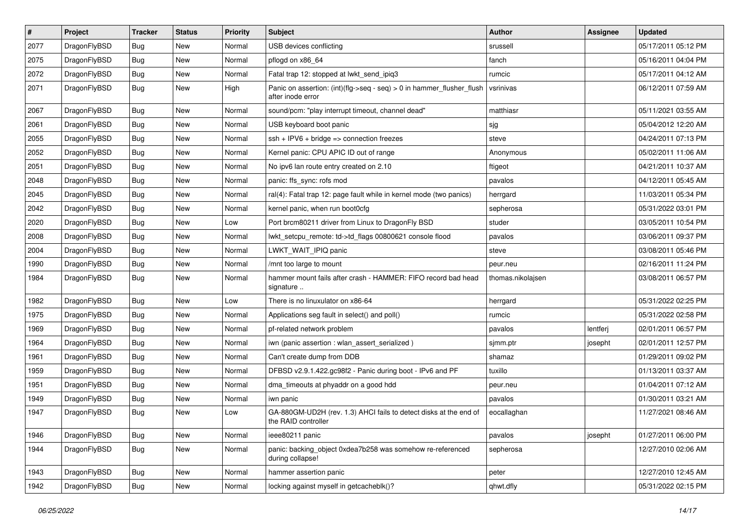| $\#$ | Project      | <b>Tracker</b> | <b>Status</b> | <b>Priority</b> | <b>Subject</b>                                                                                | <b>Author</b>     | Assignee | <b>Updated</b>      |
|------|--------------|----------------|---------------|-----------------|-----------------------------------------------------------------------------------------------|-------------------|----------|---------------------|
| 2077 | DragonFlyBSD | <b>Bug</b>     | New           | Normal          | USB devices conflicting                                                                       | srussell          |          | 05/17/2011 05:12 PM |
| 2075 | DragonFlyBSD | <b>Bug</b>     | <b>New</b>    | Normal          | pflogd on x86 64                                                                              | fanch             |          | 05/16/2011 04:04 PM |
| 2072 | DragonFlyBSD | Bug            | New           | Normal          | Fatal trap 12: stopped at lwkt_send_ipiq3                                                     | rumcic            |          | 05/17/2011 04:12 AM |
| 2071 | DragonFlyBSD | Bug            | New           | High            | Panic on assertion: $(int)(flag->seq - seq) > 0$ in hammer flusher flush<br>after inode error | vsrinivas         |          | 06/12/2011 07:59 AM |
| 2067 | DragonFlyBSD | <b>Bug</b>     | New           | Normal          | sound/pcm: "play interrupt timeout, channel dead"                                             | matthiasr         |          | 05/11/2021 03:55 AM |
| 2061 | DragonFlyBSD | Bug            | <b>New</b>    | Normal          | USB keyboard boot panic                                                                       | sjg               |          | 05/04/2012 12:20 AM |
| 2055 | DragonFlyBSD | Bug            | New           | Normal          | $ssh + IPV6 + bridge \Rightarrow connection freezes$                                          | steve             |          | 04/24/2011 07:13 PM |
| 2052 | DragonFlyBSD | Bug            | New           | Normal          | Kernel panic: CPU APIC ID out of range                                                        | Anonymous         |          | 05/02/2011 11:06 AM |
| 2051 | DragonFlyBSD | <b>Bug</b>     | New           | Normal          | No ipv6 lan route entry created on 2.10                                                       | ftigeot           |          | 04/21/2011 10:37 AM |
| 2048 | DragonFlyBSD | Bug            | New           | Normal          | panic: ffs_sync: rofs mod                                                                     | pavalos           |          | 04/12/2011 05:45 AM |
| 2045 | DragonFlyBSD | Bug            | New           | Normal          | ral(4): Fatal trap 12: page fault while in kernel mode (two panics)                           | herrgard          |          | 11/03/2011 05:34 PM |
| 2042 | DragonFlyBSD | Bug            | New           | Normal          | kernel panic, when run boot0cfg                                                               | sepherosa         |          | 05/31/2022 03:01 PM |
| 2020 | DragonFlyBSD | <b>Bug</b>     | New           | Low             | Port brcm80211 driver from Linux to DragonFly BSD                                             | studer            |          | 03/05/2011 10:54 PM |
| 2008 | DragonFlyBSD | <b>Bug</b>     | New           | Normal          | lwkt_setcpu_remote: td->td_flags 00800621 console flood                                       | pavalos           |          | 03/06/2011 09:37 PM |
| 2004 | DragonFlyBSD | Bug            | New           | Normal          | LWKT WAIT IPIQ panic                                                                          | steve             |          | 03/08/2011 05:46 PM |
| 1990 | DragonFlyBSD | Bug            | New           | Normal          | /mnt too large to mount                                                                       | peur.neu          |          | 02/16/2011 11:24 PM |
| 1984 | DragonFlyBSD | <b>Bug</b>     | New           | Normal          | hammer mount fails after crash - HAMMER: FIFO record bad head<br>signature                    | thomas.nikolajsen |          | 03/08/2011 06:57 PM |
| 1982 | DragonFlyBSD | <b>Bug</b>     | New           | Low             | There is no linuxulator on x86-64                                                             | herrgard          |          | 05/31/2022 02:25 PM |
| 1975 | DragonFlyBSD | Bug            | New           | Normal          | Applications seg fault in select() and poll()                                                 | rumcic            |          | 05/31/2022 02:58 PM |
| 1969 | DragonFlyBSD | Bug            | New           | Normal          | pf-related network problem                                                                    | pavalos           | lentferj | 02/01/2011 06:57 PM |
| 1964 | DragonFlyBSD | <b>Bug</b>     | New           | Normal          | iwn (panic assertion : wlan assert serialized)                                                | sjmm.ptr          | josepht  | 02/01/2011 12:57 PM |
| 1961 | DragonFlyBSD | Bug            | New           | Normal          | Can't create dump from DDB                                                                    | shamaz            |          | 01/29/2011 09:02 PM |
| 1959 | DragonFlyBSD | Bug            | New           | Normal          | DFBSD v2.9.1.422.gc98f2 - Panic during boot - IPv6 and PF                                     | tuxillo           |          | 01/13/2011 03:37 AM |
| 1951 | DragonFlyBSD | Bug            | New           | Normal          | dma_timeouts at phyaddr on a good hdd                                                         | peur.neu          |          | 01/04/2011 07:12 AM |
| 1949 | DragonFlyBSD | Bug            | New           | Normal          | iwn panic                                                                                     | pavalos           |          | 01/30/2011 03:21 AM |
| 1947 | DragonFlyBSD | <b>Bug</b>     | New           | Low             | GA-880GM-UD2H (rev. 1.3) AHCI fails to detect disks at the end of<br>the RAID controller      | eocallaghan       |          | 11/27/2021 08:46 AM |
| 1946 | DragonFlyBSD | <b>Bug</b>     | New           | Normal          | ieee80211 panic                                                                               | pavalos           | josepht  | 01/27/2011 06:00 PM |
| 1944 | DragonFlyBSD | <b>Bug</b>     | New           | Normal          | panic: backing_object 0xdea7b258 was somehow re-referenced<br>during collapse!                | sepherosa         |          | 12/27/2010 02:06 AM |
| 1943 | DragonFlyBSD | Bug            | New           | Normal          | hammer assertion panic                                                                        | peter             |          | 12/27/2010 12:45 AM |
| 1942 | DragonFlyBSD | <b>Bug</b>     | New           | Normal          | locking against myself in getcacheblk()?                                                      | qhwt.dfly         |          | 05/31/2022 02:15 PM |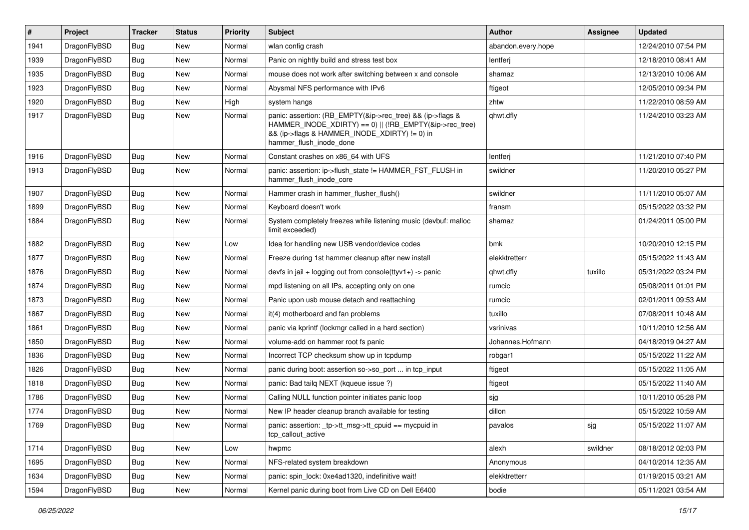| $\pmb{\#}$ | Project      | <b>Tracker</b> | <b>Status</b> | <b>Priority</b> | <b>Subject</b>                                                                                                                                                                                    | <b>Author</b>      | <b>Assignee</b> | <b>Updated</b>      |
|------------|--------------|----------------|---------------|-----------------|---------------------------------------------------------------------------------------------------------------------------------------------------------------------------------------------------|--------------------|-----------------|---------------------|
| 1941       | DragonFlyBSD | Bug            | <b>New</b>    | Normal          | wlan config crash                                                                                                                                                                                 | abandon.every.hope |                 | 12/24/2010 07:54 PM |
| 1939       | DragonFlyBSD | Bug            | <b>New</b>    | Normal          | Panic on nightly build and stress test box                                                                                                                                                        | lentferj           |                 | 12/18/2010 08:41 AM |
| 1935       | DragonFlyBSD | <b>Bug</b>     | <b>New</b>    | Normal          | mouse does not work after switching between x and console                                                                                                                                         | shamaz             |                 | 12/13/2010 10:06 AM |
| 1923       | DragonFlyBSD | Bug            | <b>New</b>    | Normal          | Abysmal NFS performance with IPv6                                                                                                                                                                 | ftigeot            |                 | 12/05/2010 09:34 PM |
| 1920       | DragonFlyBSD | <b>Bug</b>     | <b>New</b>    | High            | system hangs                                                                                                                                                                                      | zhtw               |                 | 11/22/2010 08:59 AM |
| 1917       | DragonFlyBSD | Bug            | <b>New</b>    | Normal          | panic: assertion: (RB_EMPTY(&ip->rec_tree) && (ip->flags &<br>HAMMER_INODE_XDIRTY) == 0)    (!RB_EMPTY(&ip->rec_tree)<br>&& (ip->flags & HAMMER INODE XDIRTY) != 0) in<br>hammer flush inode done | qhwt.dfly          |                 | 11/24/2010 03:23 AM |
| 1916       | DragonFlyBSD | Bug            | <b>New</b>    | Normal          | Constant crashes on x86_64 with UFS                                                                                                                                                               | lentferj           |                 | 11/21/2010 07:40 PM |
| 1913       | DragonFlyBSD | Bug            | <b>New</b>    | Normal          | panic: assertion: ip->flush_state != HAMMER_FST_FLUSH in<br>hammer flush inode core                                                                                                               | swildner           |                 | 11/20/2010 05:27 PM |
| 1907       | DragonFlyBSD | <b>Bug</b>     | <b>New</b>    | Normal          | Hammer crash in hammer_flusher_flush()                                                                                                                                                            | swildner           |                 | 11/11/2010 05:07 AM |
| 1899       | DragonFlyBSD | <b>Bug</b>     | <b>New</b>    | Normal          | Keyboard doesn't work                                                                                                                                                                             | fransm             |                 | 05/15/2022 03:32 PM |
| 1884       | DragonFlyBSD | Bug            | <b>New</b>    | Normal          | System completely freezes while listening music (devbuf: malloc<br>limit exceeded)                                                                                                                | shamaz             |                 | 01/24/2011 05:00 PM |
| 1882       | DragonFlyBSD | Bug            | <b>New</b>    | Low             | Idea for handling new USB vendor/device codes                                                                                                                                                     | bmk                |                 | 10/20/2010 12:15 PM |
| 1877       | DragonFlyBSD | <b>Bug</b>     | <b>New</b>    | Normal          | Freeze during 1st hammer cleanup after new install                                                                                                                                                | elekktretterr      |                 | 05/15/2022 11:43 AM |
| 1876       | DragonFlyBSD | <b>Bug</b>     | <b>New</b>    | Normal          | devfs in jail + logging out from console(ttyv1+) -> panic                                                                                                                                         | qhwt.dfly          | tuxillo         | 05/31/2022 03:24 PM |
| 1874       | DragonFlyBSD | Bug            | New           | Normal          | mpd listening on all IPs, accepting only on one                                                                                                                                                   | rumcic             |                 | 05/08/2011 01:01 PM |
| 1873       | DragonFlyBSD | <b>Bug</b>     | <b>New</b>    | Normal          | Panic upon usb mouse detach and reattaching                                                                                                                                                       | rumcic             |                 | 02/01/2011 09:53 AM |
| 1867       | DragonFlyBSD | <b>Bug</b>     | <b>New</b>    | Normal          | it(4) motherboard and fan problems                                                                                                                                                                | tuxillo            |                 | 07/08/2011 10:48 AM |
| 1861       | DragonFlyBSD | Bug            | <b>New</b>    | Normal          | panic via kprintf (lockmgr called in a hard section)                                                                                                                                              | vsrinivas          |                 | 10/11/2010 12:56 AM |
| 1850       | DragonFlyBSD | <b>Bug</b>     | <b>New</b>    | Normal          | volume-add on hammer root fs panic                                                                                                                                                                | Johannes.Hofmann   |                 | 04/18/2019 04:27 AM |
| 1836       | DragonFlyBSD | Bug            | <b>New</b>    | Normal          | Incorrect TCP checksum show up in tcpdump                                                                                                                                                         | robgar1            |                 | 05/15/2022 11:22 AM |
| 1826       | DragonFlyBSD | Bug            | <b>New</b>    | Normal          | panic during boot: assertion so->so_port  in tcp_input                                                                                                                                            | ftigeot            |                 | 05/15/2022 11:05 AM |
| 1818       | DragonFlyBSD | <b>Bug</b>     | <b>New</b>    | Normal          | panic: Bad tailg NEXT (kqueue issue ?)                                                                                                                                                            | ftigeot            |                 | 05/15/2022 11:40 AM |
| 1786       | DragonFlyBSD | Bug            | <b>New</b>    | Normal          | Calling NULL function pointer initiates panic loop                                                                                                                                                | sjg                |                 | 10/11/2010 05:28 PM |
| 1774       | DragonFlyBSD | <b>Bug</b>     | New           | Normal          | New IP header cleanup branch available for testing                                                                                                                                                | dillon             |                 | 05/15/2022 10:59 AM |
| 1769       | DragonFlyBSD | <b>Bug</b>     | New           | Normal          | panic: assertion: _tp->tt_msg->tt_cpuid == mycpuid in<br>tcp_callout_active                                                                                                                       | pavalos            | sjg             | 05/15/2022 11:07 AM |
| 1714       | DragonFlyBSD | Bug            | New           | Low             | hwpmc                                                                                                                                                                                             | alexh              | swildner        | 08/18/2012 02:03 PM |
| 1695       | DragonFlyBSD | <b>Bug</b>     | New           | Normal          | NFS-related system breakdown                                                                                                                                                                      | Anonymous          |                 | 04/10/2014 12:35 AM |
| 1634       | DragonFlyBSD | <b>Bug</b>     | New           | Normal          | panic: spin lock: 0xe4ad1320, indefinitive wait!                                                                                                                                                  | elekktretterr      |                 | 01/19/2015 03:21 AM |
| 1594       | DragonFlyBSD | Bug            | New           | Normal          | Kernel panic during boot from Live CD on Dell E6400                                                                                                                                               | bodie              |                 | 05/11/2021 03:54 AM |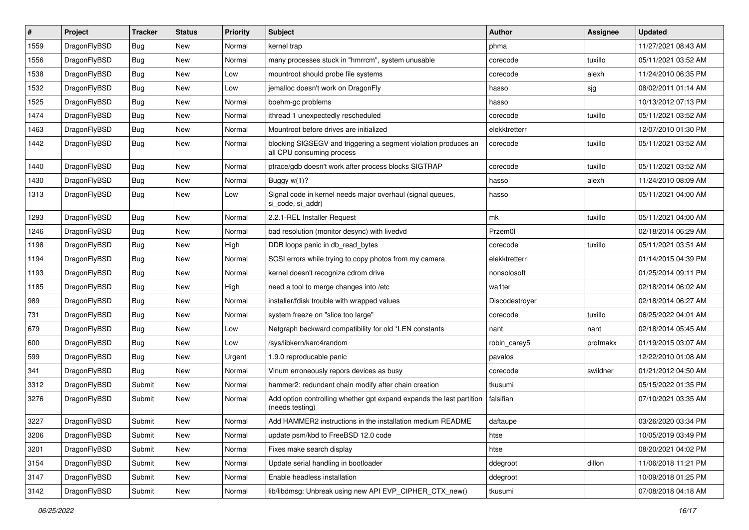| $\sharp$ | Project      | <b>Tracker</b> | <b>Status</b> | <b>Priority</b> | <b>Subject</b>                                                                               | <b>Author</b>  | Assignee | <b>Updated</b>      |
|----------|--------------|----------------|---------------|-----------------|----------------------------------------------------------------------------------------------|----------------|----------|---------------------|
| 1559     | DragonFlyBSD | <b>Bug</b>     | New           | Normal          | kernel trap                                                                                  | phma           |          | 11/27/2021 08:43 AM |
| 1556     | DragonFlyBSD | Bug            | New           | Normal          | many processes stuck in "hmrrcm", system unusable                                            | corecode       | tuxillo  | 05/11/2021 03:52 AM |
| 1538     | DragonFlyBSD | <b>Bug</b>     | New           | Low             | mountroot should probe file systems                                                          | corecode       | alexh    | 11/24/2010 06:35 PM |
| 1532     | DragonFlyBSD | <b>Bug</b>     | <b>New</b>    | Low             | jemalloc doesn't work on DragonFly                                                           | hasso          | sjg      | 08/02/2011 01:14 AM |
| 1525     | DragonFlyBSD | Bug            | <b>New</b>    | Normal          | boehm-gc problems                                                                            | hasso          |          | 10/13/2012 07:13 PM |
| 1474     | DragonFlyBSD | <b>Bug</b>     | <b>New</b>    | Normal          | ithread 1 unexpectedly rescheduled                                                           | corecode       | tuxillo  | 05/11/2021 03:52 AM |
| 1463     | DragonFlyBSD | <b>Bug</b>     | New           | Normal          | Mountroot before drives are initialized                                                      | elekktretterr  |          | 12/07/2010 01:30 PM |
| 1442     | DragonFlyBSD | <b>Bug</b>     | <b>New</b>    | Normal          | blocking SIGSEGV and triggering a segment violation produces an<br>all CPU consuming process | corecode       | tuxillo  | 05/11/2021 03:52 AM |
| 1440     | DragonFlyBSD | Bug            | <b>New</b>    | Normal          | ptrace/gdb doesn't work after process blocks SIGTRAP                                         | corecode       | tuxillo  | 05/11/2021 03:52 AM |
| 1430     | DragonFlyBSD | <b>Bug</b>     | New           | Normal          | Buggy $w(1)$ ?                                                                               | hasso          | alexh    | 11/24/2010 08:09 AM |
| 1313     | DragonFlyBSD | <b>Bug</b>     | <b>New</b>    | Low             | Signal code in kernel needs major overhaul (signal queues,<br>si code, si addr)              | hasso          |          | 05/11/2021 04:00 AM |
| 1293     | DragonFlyBSD | Bug            | New           | Normal          | 2.2.1-REL Installer Request                                                                  | mk             | tuxillo  | 05/11/2021 04:00 AM |
| 1246     | DragonFlyBSD | <b>Bug</b>     | New           | Normal          | bad resolution (monitor desync) with livedvd                                                 | Przem0l        |          | 02/18/2014 06:29 AM |
| 1198     | DragonFlyBSD | <b>Bug</b>     | <b>New</b>    | High            | DDB loops panic in db_read_bytes                                                             | corecode       | tuxillo  | 05/11/2021 03:51 AM |
| 1194     | DragonFlyBSD | <b>Bug</b>     | New           | Normal          | SCSI errors while trying to copy photos from my camera                                       | elekktretterr  |          | 01/14/2015 04:39 PM |
| 1193     | DragonFlyBSD | Bug            | New           | Normal          | kernel doesn't recognize cdrom drive                                                         | nonsolosoft    |          | 01/25/2014 09:11 PM |
| 1185     | DragonFlyBSD | <b>Bug</b>     | New           | High            | need a tool to merge changes into /etc                                                       | wa1ter         |          | 02/18/2014 06:02 AM |
| 989      | DragonFlyBSD | <b>Bug</b>     | New           | Normal          | installer/fdisk trouble with wrapped values                                                  | Discodestroyer |          | 02/18/2014 06:27 AM |
| 731      | DragonFlyBSD | <b>Bug</b>     | New           | Normal          | system freeze on "slice too large"                                                           | corecode       | tuxillo  | 06/25/2022 04:01 AM |
| 679      | DragonFlyBSD | <b>Bug</b>     | New           | Low             | Netgraph backward compatibility for old *LEN constants                                       | nant           | nant     | 02/18/2014 05:45 AM |
| 600      | DragonFlyBSD | Bug            | <b>New</b>    | Low             | /sys/libkern/karc4random                                                                     | robin_carey5   | profmakx | 01/19/2015 03:07 AM |
| 599      | DragonFlyBSD | Bug            | New           | Urgent          | 1.9.0 reproducable panic                                                                     | pavalos        |          | 12/22/2010 01:08 AM |
| 341      | DragonFlyBSD | Bug            | New           | Normal          | Vinum erroneously repors devices as busy                                                     | corecode       | swildner | 01/21/2012 04:50 AM |
| 3312     | DragonFlyBSD | Submit         | New           | Normal          | hammer2: redundant chain modify after chain creation                                         | tkusumi        |          | 05/15/2022 01:35 PM |
| 3276     | DragonFlyBSD | Submit         | <b>New</b>    | Normal          | Add option controlling whether gpt expand expands the last partition<br>(needs testing)      | falsifian      |          | 07/10/2021 03:35 AM |
| 3227     | DragonFlyBSD | Submit         | <b>New</b>    | Normal          | Add HAMMER2 instructions in the installation medium README                                   | daftaupe       |          | 03/26/2020 03:34 PM |
| 3206     | DragonFlyBSD | Submit         | <b>New</b>    | Normal          | update psm/kbd to FreeBSD 12.0 code                                                          | htse           |          | 10/05/2019 03:49 PM |
| 3201     | DragonFlyBSD | Submit         | New           | Normal          | Fixes make search display                                                                    | htse           |          | 08/20/2021 04:02 PM |
| 3154     | DragonFlyBSD | Submit         | <b>New</b>    | Normal          | Update serial handling in bootloader                                                         | ddegroot       | dillon   | 11/06/2018 11:21 PM |
| 3147     | DragonFlyBSD | Submit         | New           | Normal          | Enable headless installation                                                                 | ddegroot       |          | 10/09/2018 01:25 PM |
| 3142     | DragonFlyBSD | Submit         | New           | Normal          | lib/libdmsg: Unbreak using new API EVP_CIPHER_CTX_new()                                      | tkusumi        |          | 07/08/2018 04:18 AM |